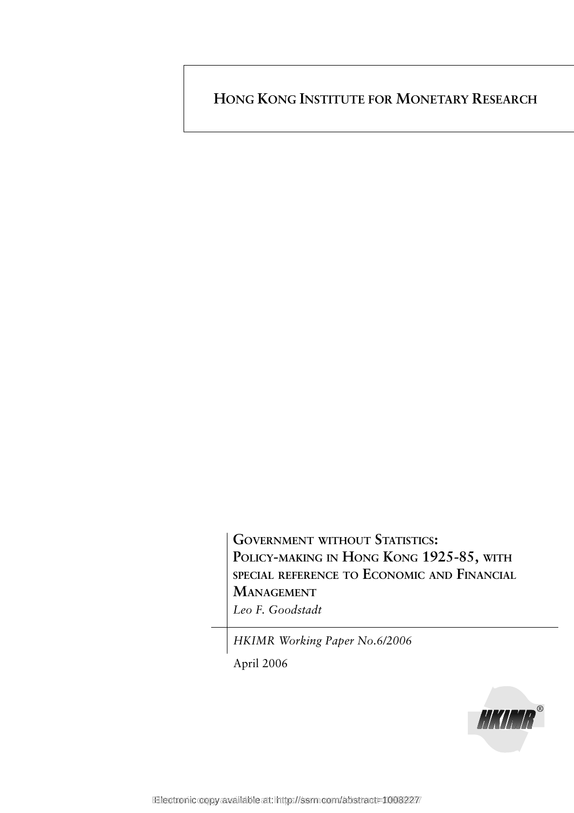**HONG KONG INSTITUTE FOR MONETARY RESEARCH**

**GOVERNMENT WITHOUT STATISTICS: POLICY-MAKING IN HONG KONG 1925-85, WITH SPECIAL REFERENCE TO ECONOMIC AND FINANCIAL MANAGEMENT** *Leo F. Goodstadt*

*HKIMR Working Paper No.6/2006*

April 2006

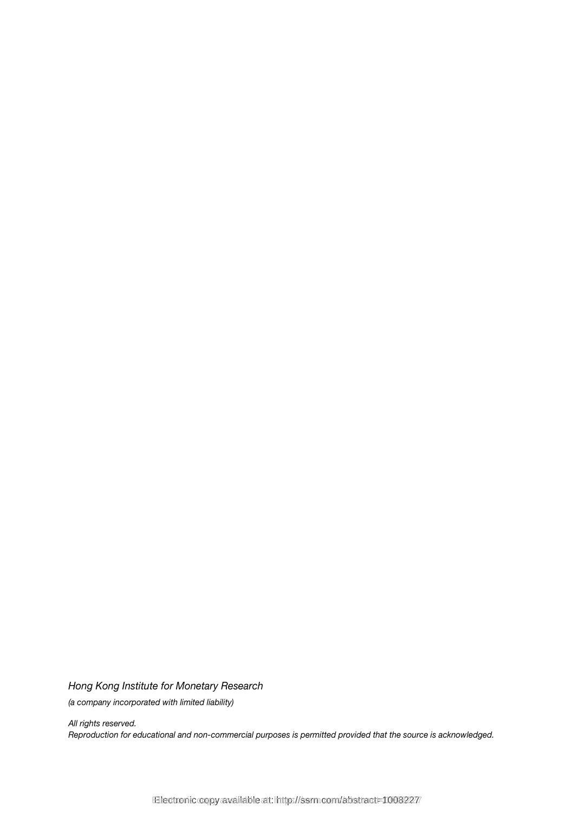*Hong Kong Institute for Monetary Research*

*(a company incorporated with limited liability)*

*All rights reserved. Reproduction for educational and non-commercial purposes is permitted provided that the source is acknowledged.*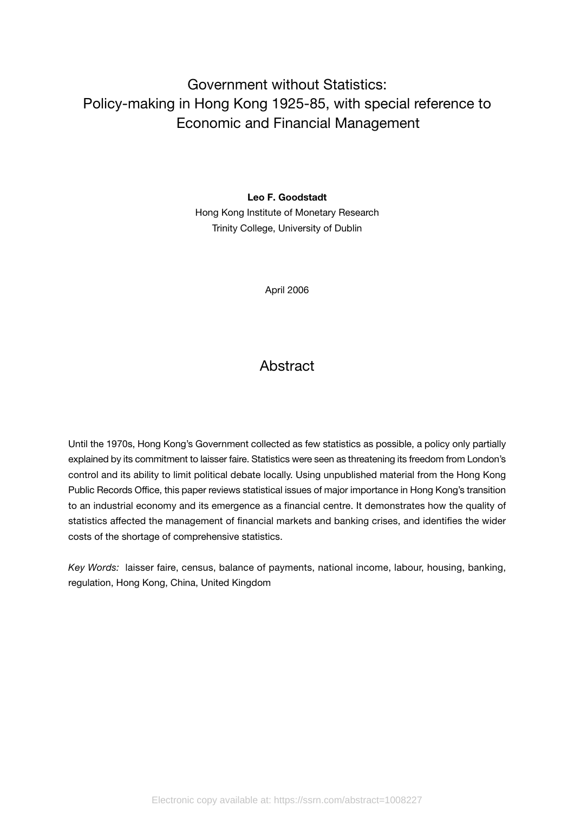# Government without Statistics: Policy-making in Hong Kong 1925-85, with special reference to Economic and Financial Management

**Leo F. Goodstadt**

Hong Kong Institute of Monetary Research Trinity College, University of Dublin

April 2006

## **Abstract**

Until the 1970s, Hong Kong's Government collected as few statistics as possible, a policy only partially explained by its commitment to laisser faire. Statistics were seen as threatening its freedom from London's control and its ability to limit political debate locally. Using unpublished material from the Hong Kong Public Records Office, this paper reviews statistical issues of major importance in Hong Kong's transition to an industrial economy and its emergence as a financial centre. It demonstrates how the quality of statistics affected the management of financial markets and banking crises, and identifies the wider costs of the shortage of comprehensive statistics.

*Key Words:* laisser faire, census, balance of payments, national income, labour, housing, banking, regulation, Hong Kong, China, United Kingdom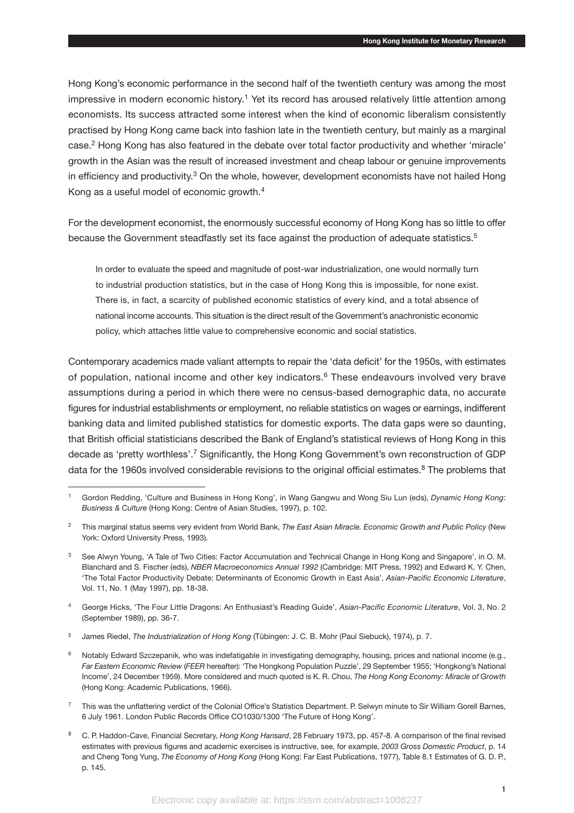Hong Kong's economic performance in the second half of the twentieth century was among the most impressive in modern economic history.<sup>1</sup> Yet its record has aroused relatively little attention among economists. Its success attracted some interest when the kind of economic liberalism consistently practised by Hong Kong came back into fashion late in the twentieth century, but mainly as a marginal case.2 Hong Kong has also featured in the debate over total factor productivity and whether 'miracle' growth in the Asian was the result of increased investment and cheap labour or genuine improvements in efficiency and productivity.<sup>3</sup> On the whole, however, development economists have not hailed Hong Kong as a useful model of economic growth.4

For the development economist, the enormously successful economy of Hong Kong has so little to offer because the Government steadfastly set its face against the production of adequate statistics.<sup>5</sup>

In order to evaluate the speed and magnitude of post-war industrialization, one would normally turn to industrial production statistics, but in the case of Hong Kong this is impossible, for none exist. There is, in fact, a scarcity of published economic statistics of every kind, and a total absence of national income accounts. This situation is the direct result of the Government's anachronistic economic policy, which attaches little value to comprehensive economic and social statistics.

Contemporary academics made valiant attempts to repair the 'data deficit' for the 1950s, with estimates of population, national income and other key indicators.<sup>6</sup> These endeavours involved very brave assumptions during a period in which there were no census-based demographic data, no accurate figures for industrial establishments or employment, no reliable statistics on wages or earnings, indifferent banking data and limited published statistics for domestic exports. The data gaps were so daunting, that British official statisticians described the Bank of England's statistical reviews of Hong Kong in this decade as 'pretty worthless'.7 Significantly, the Hong Kong Government's own reconstruction of GDP data for the 1960s involved considerable revisions to the original official estimates.<sup>8</sup> The problems that

<sup>1</sup> Gordon Redding, 'Culture and Business in Hong Kong', in Wang Gangwu and Wong Siu Lun (eds), *Dynamic Hong Kong*: *Business & Culture* (Hong Kong: Centre of Asian Studies, 1997), p. 102.

<sup>2</sup> This marginal status seems very evident from World Bank, *The East Asian Miracle. Economic Growth and Public Policy* (New York: Oxford University Press, 1993).

<sup>3</sup> See Alwyn Young, 'A Tale of Two Cities: Factor Accumulation and Technical Change in Hong Kong and Singapore', in O. M. Blanchard and S. Fischer (eds), *NBER Macroeconomics Annual 1992* (Cambridge: MIT Press, 1992) and Edward K. Y. Chen, 'The Total Factor Productivity Debate: Determinants of Economic Growth in East Asia', *Asian-Pacific Economic Literature*, Vol. 11, No. 1 (May 1997), pp. 18-38.

<sup>4</sup> George Hicks, 'The Four Little Dragons: An Enthusiast's Reading Guide', *Asian-Pacific Economic Literature*, Vol. 3, No. 2 (September 1989), pp. 36-7.

<sup>5</sup> James Riedel, *The Industrialization of Hong Kong* (Tübingen: J. C. B. Mohr (Paul Siebuck), 1974), p. 7.

 $6$  Notably Edward Szczepanik, who was indefatigable in investigating demography, housing, prices and national income (e.g., *Far Eastern Economic Review* (*FEER* hereafter): 'The Hongkong Population Puzzle', 29 September 1955; 'Hongkong's National Income', 24 December 1959). More considered and much quoted is K. R. Chou, *The Hong Kong Economy: Miracle of Growth* (Hong Kong: Academic Publications, 1966).

<sup>&</sup>lt;sup>7</sup> This was the unflattering verdict of the Colonial Office's Statistics Department. P. Selwyn minute to Sir William Gorell Barnes, 6 July 1961. London Public Records Office CO1030/1300 'The Future of Hong Kong'.

<sup>8</sup> C. P. Haddon-Cave, Financial Secretary, *Hong Kong Hansard*, 28 February 1973, pp. 457-8. A comparison of the final revised estimates with previous figures and academic exercises is instructive, see, for example, *2003 Gross Domestic Product*, p. 14 and Cheng Tong Yung, *The Economy of Hong Kong* (Hong Kong: Far East Publications, 1977), Table 8.1 Estimates of G. D. P., p. 145.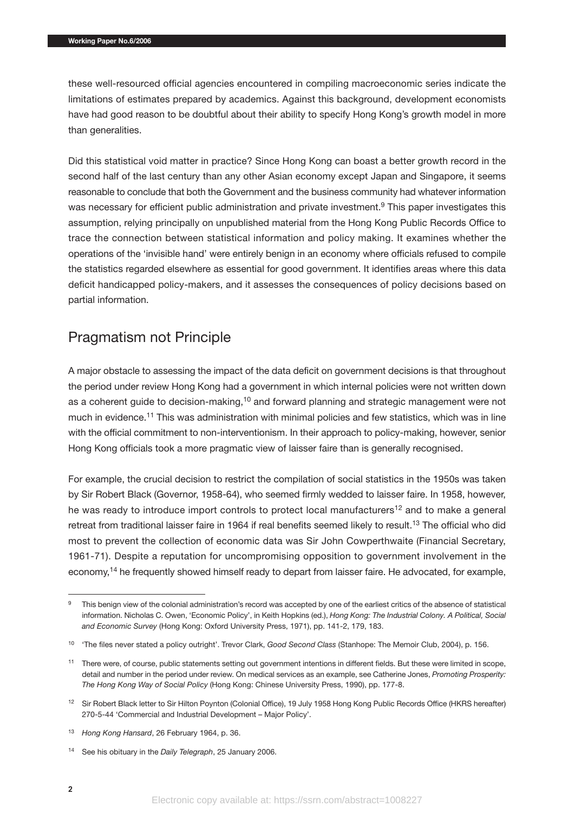these well-resourced official agencies encountered in compiling macroeconomic series indicate the limitations of estimates prepared by academics. Against this background, development economists have had good reason to be doubtful about their ability to specify Hong Kong's growth model in more than generalities.

Did this statistical void matter in practice? Since Hong Kong can boast a better growth record in the second half of the last century than any other Asian economy except Japan and Singapore, it seems reasonable to conclude that both the Government and the business community had whatever information was necessary for efficient public administration and private investment.<sup>9</sup> This paper investigates this assumption, relying principally on unpublished material from the Hong Kong Public Records Office to trace the connection between statistical information and policy making. It examines whether the operations of the 'invisible hand' were entirely benign in an economy where officials refused to compile the statistics regarded elsewhere as essential for good government. It identifies areas where this data deficit handicapped policy-makers, and it assesses the consequences of policy decisions based on partial information.

## Pragmatism not Principle

A major obstacle to assessing the impact of the data deficit on government decisions is that throughout the period under review Hong Kong had a government in which internal policies were not written down as a coherent guide to decision-making,<sup>10</sup> and forward planning and strategic management were not much in evidence.<sup>11</sup> This was administration with minimal policies and few statistics, which was in line with the official commitment to non-interventionism. In their approach to policy-making, however, senior Hong Kong officials took a more pragmatic view of laisser faire than is generally recognised.

For example, the crucial decision to restrict the compilation of social statistics in the 1950s was taken by Sir Robert Black (Governor, 1958-64), who seemed firmly wedded to laisser faire. In 1958, however, he was ready to introduce import controls to protect local manufacturers<sup>12</sup> and to make a general retreat from traditional laisser faire in 1964 if real benefits seemed likely to result.<sup>13</sup> The official who did most to prevent the collection of economic data was Sir John Cowperthwaite (Financial Secretary, 1961-71). Despite a reputation for uncompromising opposition to government involvement in the economy,<sup>14</sup> he frequently showed himself ready to depart from laisser faire. He advocated, for example,

<sup>&</sup>lt;sup>9</sup> This benign view of the colonial administration's record was accepted by one of the earliest critics of the absence of statistical information. Nicholas C. Owen, 'Economic Policy', in Keith Hopkins (ed.), *Hong Kong: The Industrial Colony. A Political, Social and Economic Survey* (Hong Kong: Oxford University Press, 1971), pp. 141-2, 179, 183.

<sup>10</sup> 'The files never stated a policy outright'. Trevor Clark, *Good Second Class* (Stanhope: The Memoir Club, 2004), p. 156.

<sup>&</sup>lt;sup>11</sup> There were, of course, public statements setting out government intentions in different fields. But these were limited in scope, detail and number in the period under review. On medical services as an example, see Catherine Jones, *Promoting Prosperity: The Hong Kong Way of Social Policy* (Hong Kong: Chinese University Press, 1990), pp. 177-8.

<sup>12</sup> Sir Robert Black letter to Sir Hilton Poynton (Colonial Office), 19 July 1958 Hong Kong Public Records Office (HKRS hereafter) 270-5-44 'Commercial and Industrial Development – Major Policy'.

<sup>13</sup> *Hong Kong Hansard*, 26 February 1964, p. 36.

<sup>14</sup> See his obituary in the *Daily Telegraph*, 25 January 2006.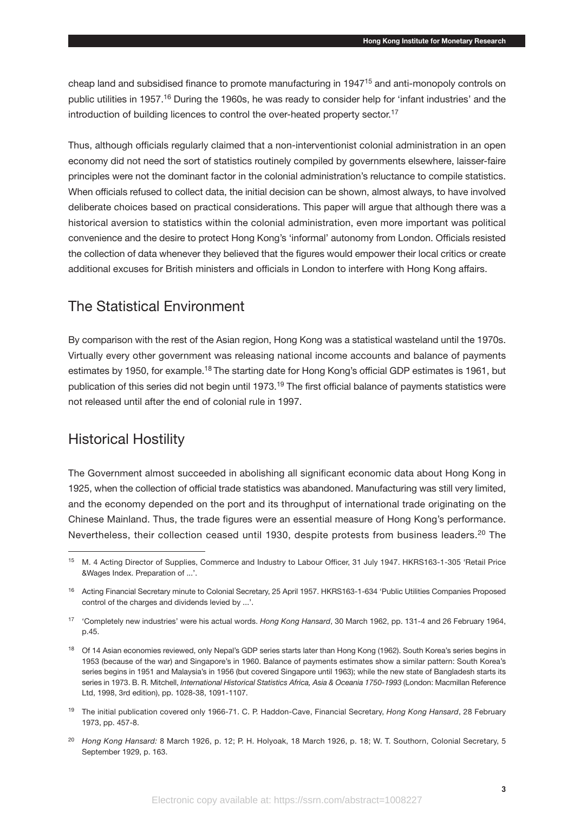cheap land and subsidised finance to promote manufacturing in 1947<sup>15</sup> and anti-monopoly controls on public utilities in 1957.<sup>16</sup> During the 1960s, he was ready to consider help for 'infant industries' and the introduction of building licences to control the over-heated property sector.<sup>17</sup>

Thus, although officials regularly claimed that a non-interventionist colonial administration in an open economy did not need the sort of statistics routinely compiled by governments elsewhere, laisser-faire principles were not the dominant factor in the colonial administration's reluctance to compile statistics. When officials refused to collect data, the initial decision can be shown, almost always, to have involved deliberate choices based on practical considerations. This paper will argue that although there was a historical aversion to statistics within the colonial administration, even more important was political convenience and the desire to protect Hong Kong's 'informal' autonomy from London. Officials resisted the collection of data whenever they believed that the figures would empower their local critics or create additional excuses for British ministers and officials in London to interfere with Hong Kong affairs.

## The Statistical Environment

By comparison with the rest of the Asian region, Hong Kong was a statistical wasteland until the 1970s. Virtually every other government was releasing national income accounts and balance of payments estimates by 1950, for example.18 The starting date for Hong Kong's official GDP estimates is 1961, but publication of this series did not begin until 1973.<sup>19</sup> The first official balance of payments statistics were not released until after the end of colonial rule in 1997.

## Historical Hostility

The Government almost succeeded in abolishing all significant economic data about Hong Kong in 1925, when the collection of official trade statistics was abandoned. Manufacturing was still very limited, and the economy depended on the port and its throughput of international trade originating on the Chinese Mainland. Thus, the trade figures were an essential measure of Hong Kong's performance. Nevertheless, their collection ceased until 1930, despite protests from business leaders.<sup>20</sup> The

<sup>15</sup> M. 4 Acting Director of Supplies, Commerce and Industry to Labour Officer, 31 July 1947. HKRS163-1-305 'Retail Price &Wages Index. Preparation of ...'.

<sup>16</sup> Acting Financial Secretary minute to Colonial Secretary, 25 April 1957. HKRS163-1-634 'Public Utilities Companies Proposed control of the charges and dividends levied by ...'.

<sup>17</sup> 'Completely new industries' were his actual words. *Hong Kong Hansard*, 30 March 1962, pp. 131-4 and 26 February 1964, p.45.

<sup>&</sup>lt;sup>18</sup> Of 14 Asian economies reviewed, only Nepal's GDP series starts later than Hong Kong (1962). South Korea's series begins in 1953 (because of the war) and Singapore's in 1960. Balance of payments estimates show a similar pattern: South Korea's series begins in 1951 and Malaysia's in 1956 (but covered Singapore until 1963); while the new state of Bangladesh starts its series in 1973. B. R. Mitchell, *International Historical Statistics Africa*, Asia & Oceania 1750-1993 (London: Macmillan Reference Ltd, 1998, 3rd edition), pp. 1028-38, 1091-1107.

<sup>19</sup> The initial publication covered only 1966-71. C. P. Haddon-Cave, Financial Secretary, *Hong Kong Hansard*, 28 February 1973, pp. 457-8.

<sup>20</sup> *Hong Kong Hansard:* 8 March 1926, p. 12; P. H. Holyoak, 18 March 1926, p. 18; W. T. Southorn, Colonial Secretary, 5 September 1929, p. 163.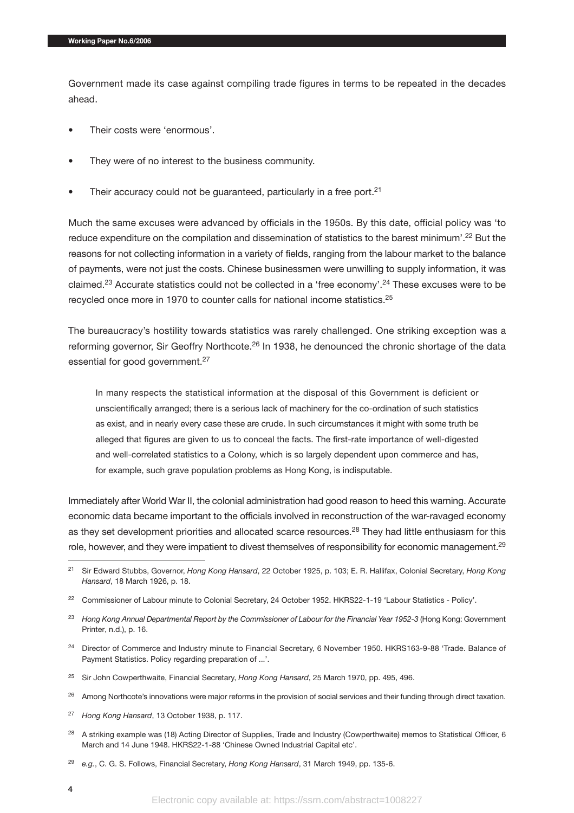Government made its case against compiling trade figures in terms to be repeated in the decades ahead.

- Their costs were 'enormous'.
- They were of no interest to the business community.
- Their accuracy could not be guaranteed, particularly in a free port.<sup>21</sup>

Much the same excuses were advanced by officials in the 1950s. By this date, official policy was 'to reduce expenditure on the compilation and dissemination of statistics to the barest minimum'.<sup>22</sup> But the reasons for not collecting information in a variety of fields, ranging from the labour market to the balance of payments, were not just the costs. Chinese businessmen were unwilling to supply information, it was claimed.<sup>23</sup> Accurate statistics could not be collected in a 'free economy'.<sup>24</sup> These excuses were to be recycled once more in 1970 to counter calls for national income statistics.<sup>25</sup>

The bureaucracy's hostility towards statistics was rarely challenged. One striking exception was a reforming governor, Sir Geoffry Northcote.<sup>26</sup> In 1938, he denounced the chronic shortage of the data essential for good government.<sup>27</sup>

In many respects the statistical information at the disposal of this Government is deficient or unscientifically arranged; there is a serious lack of machinery for the co-ordination of such statistics as exist, and in nearly every case these are crude. In such circumstances it might with some truth be alleged that figures are given to us to conceal the facts. The first-rate importance of well-digested and well-correlated statistics to a Colony, which is so largely dependent upon commerce and has, for example, such grave population problems as Hong Kong, is indisputable.

Immediately after World War II, the colonial administration had good reason to heed this warning. Accurate economic data became important to the officials involved in reconstruction of the war-ravaged economy as they set development priorities and allocated scarce resources.<sup>28</sup> They had little enthusiasm for this role, however, and they were impatient to divest themselves of responsibility for economic management.<sup>29</sup>

- <sup>23</sup> Hong Kong Annual Departmental Report by the Commissioner of Labour for the Financial Year 1952-3 (Hong Kong: Government Printer, n.d.), p. 16.
- <sup>24</sup> Director of Commerce and Industry minute to Financial Secretary, 6 November 1950. HKRS163-9-88 'Trade. Balance of Payment Statistics. Policy regarding preparation of ...'.
- <sup>25</sup> Sir John Cowperthwaite, Financial Secretary, *Hong Kong Hansard*, 25 March 1970, pp. 495, 496.
- <sup>26</sup> Among Northcote's innovations were major reforms in the provision of social services and their funding through direct taxation.
- <sup>27</sup> *Hong Kong Hansard*, 13 October 1938, p. 117.
- <sup>28</sup> A striking example was (18) Acting Director of Supplies, Trade and Industry (Cowperthwaite) memos to Statistical Officer, 6 March and 14 June 1948. HKRS22-1-88 'Chinese Owned Industrial Capital etc'.

<sup>21</sup> Sir Edward Stubbs, Governor, *Hong Kong Hansard*, 22 October 1925, p. 103; E. R. Hallifax, Colonial Secretary, *Hong Kong Hansard*, 18 March 1926, p. 18.

<sup>&</sup>lt;sup>22</sup> Commissioner of Labour minute to Colonial Secretary, 24 October 1952. HKRS22-1-19 'Labour Statistics - Policy'.

<sup>29</sup> *e.g.*, C. G. S. Follows, Financial Secretary, *Hong Kong Hansard*, 31 March 1949, pp. 135-6.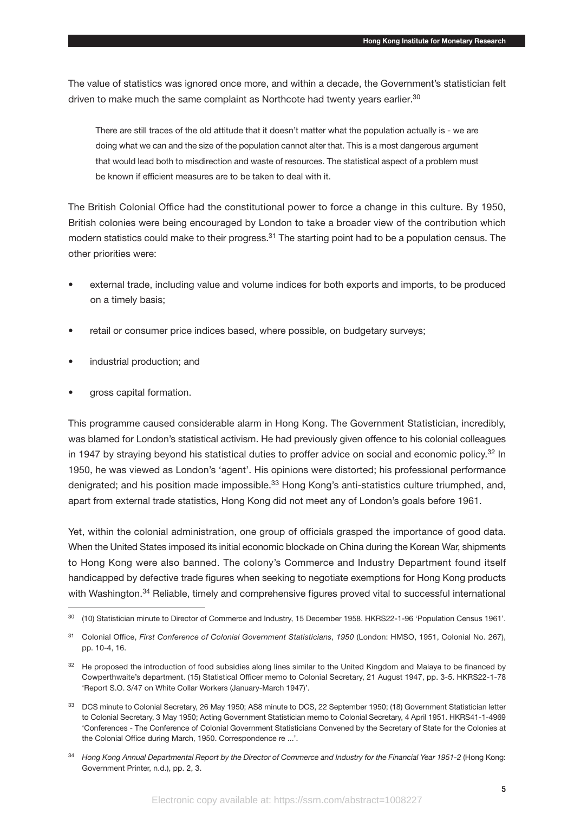The value of statistics was ignored once more, and within a decade, the Government's statistician felt driven to make much the same complaint as Northcote had twenty years earlier.<sup>30</sup>

There are still traces of the old attitude that it doesn't matter what the population actually is - we are doing what we can and the size of the population cannot alter that. This is a most dangerous argument that would lead both to misdirection and waste of resources. The statistical aspect of a problem must be known if efficient measures are to be taken to deal with it.

The British Colonial Office had the constitutional power to force a change in this culture. By 1950, British colonies were being encouraged by London to take a broader view of the contribution which modern statistics could make to their progress.<sup>31</sup> The starting point had to be a population census. The other priorities were:

- external trade, including value and volume indices for both exports and imports, to be produced on a timely basis;
- retail or consumer price indices based, where possible, on budgetary surveys;
- industrial production; and
- gross capital formation.

This programme caused considerable alarm in Hong Kong. The Government Statistician, incredibly, was blamed for London's statistical activism. He had previously given offence to his colonial colleagues in 1947 by straying beyond his statistical duties to proffer advice on social and economic policy.<sup>32</sup> In 1950, he was viewed as London's 'agent'. His opinions were distorted; his professional performance denigrated; and his position made impossible.<sup>33</sup> Hong Kong's anti-statistics culture triumphed, and, apart from external trade statistics, Hong Kong did not meet any of London's goals before 1961.

Yet, within the colonial administration, one group of officials grasped the importance of good data. When the United States imposed its initial economic blockade on China during the Korean War, shipments to Hong Kong were also banned. The colony's Commerce and Industry Department found itself handicapped by defective trade figures when seeking to negotiate exemptions for Hong Kong products with Washington.<sup>34</sup> Reliable, timely and comprehensive figures proved vital to successful international

<sup>30</sup> (10) Statistician minute to Director of Commerce and Industry, 15 December 1958. HKRS22-1-96 'Population Census 1961'.

<sup>31</sup> Colonial Office, *First Conference of Colonial Government Statisticians*, *1950* (London: HMSO, 1951, Colonial No. 267), pp. 10-4, 16.

<sup>&</sup>lt;sup>32</sup> He proposed the introduction of food subsidies along lines similar to the United Kingdom and Malaya to be financed by Cowperthwaite's department. (15) Statistical Officer memo to Colonial Secretary, 21 August 1947, pp. 3-5. HKRS22-1-78 'Report S.O. 3/47 on White Collar Workers (January-March 1947)'.

<sup>33</sup> DCS minute to Colonial Secretary, 26 May 1950; AS8 minute to DCS, 22 September 1950; (18) Government Statistician letter to Colonial Secretary, 3 May 1950; Acting Government Statistician memo to Colonial Secretary, 4 April 1951. HKRS41-1-4969 'Conferences - The Conference of Colonial Government Statisticians Convened by the Secretary of State for the Colonies at the Colonial Office during March, 1950. Correspondence re ...'.

<sup>&</sup>lt;sup>34</sup> Hong Kong Annual Departmental Report by the Director of Commerce and Industry for the Financial Year 1951-2 (Hong Kong: Government Printer, n.d.), pp. 2, 3.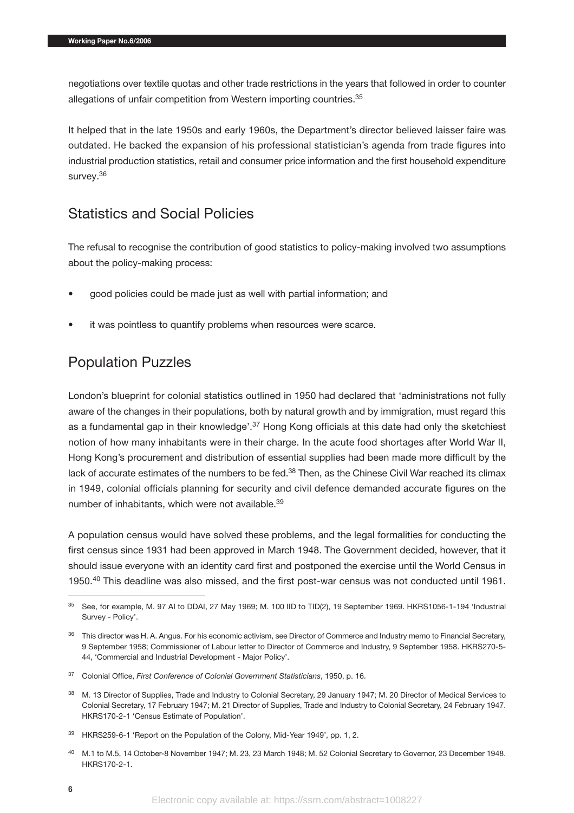negotiations over textile quotas and other trade restrictions in the years that followed in order to counter allegations of unfair competition from Western importing countries.<sup>35</sup>

It helped that in the late 1950s and early 1960s, the Department's director believed laisser faire was outdated. He backed the expansion of his professional statistician's agenda from trade figures into industrial production statistics, retail and consumer price information and the first household expenditure survey.36

## Statistics and Social Policies

The refusal to recognise the contribution of good statistics to policy-making involved two assumptions about the policy-making process:

- good policies could be made just as well with partial information; and
- it was pointless to quantify problems when resources were scarce.

## Population Puzzles

London's blueprint for colonial statistics outlined in 1950 had declared that 'administrations not fully aware of the changes in their populations, both by natural growth and by immigration, must regard this as a fundamental gap in their knowledge'.<sup>37</sup> Hong Kong officials at this date had only the sketchiest notion of how many inhabitants were in their charge. In the acute food shortages after World War II, Hong Kong's procurement and distribution of essential supplies had been made more difficult by the lack of accurate estimates of the numbers to be fed.<sup>38</sup> Then, as the Chinese Civil War reached its climax in 1949, colonial officials planning for security and civil defence demanded accurate figures on the number of inhabitants, which were not available.<sup>39</sup>

A population census would have solved these problems, and the legal formalities for conducting the first census since 1931 had been approved in March 1948. The Government decided, however, that it should issue everyone with an identity card first and postponed the exercise until the World Census in 1950.40 This deadline was also missed, and the first post-war census was not conducted until 1961.

<sup>35</sup> See, for example, M. 97 AI to DDAI, 27 May 1969; M. 100 IID to TID(2), 19 September 1969. HKRS1056-1-194 'Industrial Survey - Policy'.

<sup>&</sup>lt;sup>36</sup> This director was H. A. Angus. For his economic activism, see Director of Commerce and Industry memo to Financial Secretary, 9 September 1958; Commissioner of Labour letter to Director of Commerce and Industry, 9 September 1958. HKRS270-5- 44, 'Commercial and Industrial Development - Major Policy'.

<sup>37</sup> Colonial Office, *First Conference of Colonial Government Statisticians*, 1950, p. 16.

<sup>38</sup> M. 13 Director of Supplies, Trade and Industry to Colonial Secretary, 29 January 1947; M. 20 Director of Medical Services to Colonial Secretary, 17 February 1947; M. 21 Director of Supplies, Trade and Industry to Colonial Secretary, 24 February 1947. HKRS170-2-1 'Census Estimate of Population'.

<sup>39</sup> HKRS259-6-1 'Report on the Population of the Colony, Mid-Year 1949', pp. 1, 2.

<sup>40</sup> M.1 to M.5, 14 October-8 November 1947; M. 23, 23 March 1948; M. 52 Colonial Secretary to Governor, 23 December 1948. HKRS170-2-1.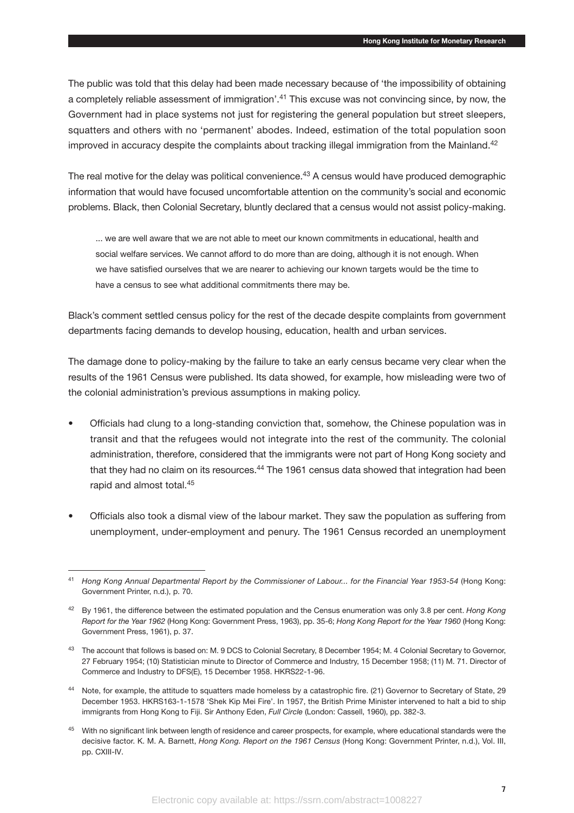The public was told that this delay had been made necessary because of 'the impossibility of obtaining a completely reliable assessment of immigration'.<sup>41</sup> This excuse was not convincing since, by now, the Government had in place systems not just for registering the general population but street sleepers, squatters and others with no 'permanent' abodes. Indeed, estimation of the total population soon improved in accuracy despite the complaints about tracking illegal immigration from the Mainland.<sup>42</sup>

The real motive for the delay was political convenience.<sup>43</sup> A census would have produced demographic information that would have focused uncomfortable attention on the community's social and economic problems. Black, then Colonial Secretary, bluntly declared that a census would not assist policy-making.

... we are well aware that we are not able to meet our known commitments in educational, health and social welfare services. We cannot afford to do more than are doing, although it is not enough. When we have satisfied ourselves that we are nearer to achieving our known targets would be the time to have a census to see what additional commitments there may be.

Black's comment settled census policy for the rest of the decade despite complaints from government departments facing demands to develop housing, education, health and urban services.

The damage done to policy-making by the failure to take an early census became very clear when the results of the 1961 Census were published. Its data showed, for example, how misleading were two of the colonial administration's previous assumptions in making policy.

- Officials had clung to a long-standing conviction that, somehow, the Chinese population was in transit and that the refugees would not integrate into the rest of the community. The colonial administration, therefore, considered that the immigrants were not part of Hong Kong society and that they had no claim on its resources.<sup>44</sup> The 1961 census data showed that integration had been rapid and almost total.45
- Officials also took a dismal view of the labour market. They saw the population as suffering from unemployment, under-employment and penury. The 1961 Census recorded an unemployment

<sup>41</sup> *Hong Kong Annual Departmental Report by the Commissioner of Labour... for the Financial Year 1953-54* (Hong Kong: Government Printer, n.d.), p. 70.

<sup>42</sup> By 1961, the difference between the estimated population and the Census enumeration was only 3.8 per cent. *Hong Kong Report for the Year 1962* (Hong Kong: Government Press, 1963), pp. 35-6; *Hong Kong Report for the Year 1960* (Hong Kong: Government Press, 1961), p. 37.

<sup>43</sup> The account that follows is based on: M. 9 DCS to Colonial Secretary, 8 December 1954; M. 4 Colonial Secretary to Governor, 27 February 1954; (10) Statistician minute to Director of Commerce and Industry, 15 December 1958; (11) M. 71. Director of Commerce and Industry to DFS(E), 15 December 1958. HKRS22-1-96.

<sup>44</sup> Note, for example, the attitude to squatters made homeless by a catastrophic fire. (21) Governor to Secretary of State, 29 December 1953. HKRS163-1-1578 'Shek Kip Mei Fire'. In 1957, the British Prime Minister intervened to halt a bid to ship immigrants from Hong Kong to Fiji. Sir Anthony Eden, *Full Circle* (London: Cassell, 1960), pp. 382-3.

<sup>&</sup>lt;sup>45</sup> With no significant link between length of residence and career prospects, for example, where educational standards were the decisive factor. K. M. A. Barnett, *Hong Kong. Report on the 1961 Census* (Hong Kong: Government Printer, n.d.), Vol. III, pp. CXIII-IV.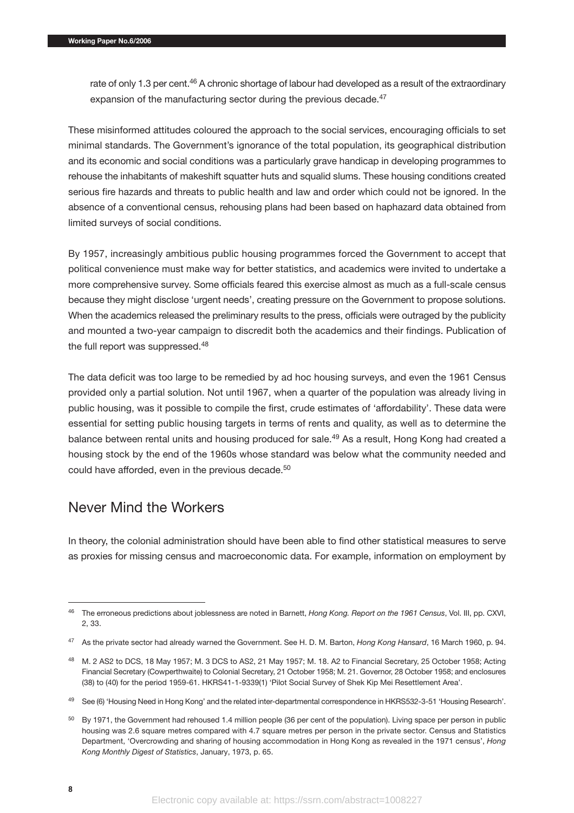rate of only 1.3 per cent.<sup>46</sup> A chronic shortage of labour had developed as a result of the extraordinary expansion of the manufacturing sector during the previous decade.<sup>47</sup>

These misinformed attitudes coloured the approach to the social services, encouraging officials to set minimal standards. The Government's ignorance of the total population, its geographical distribution and its economic and social conditions was a particularly grave handicap in developing programmes to rehouse the inhabitants of makeshift squatter huts and squalid slums. These housing conditions created serious fire hazards and threats to public health and law and order which could not be ignored. In the absence of a conventional census, rehousing plans had been based on haphazard data obtained from limited surveys of social conditions.

By 1957, increasingly ambitious public housing programmes forced the Government to accept that political convenience must make way for better statistics, and academics were invited to undertake a more comprehensive survey. Some officials feared this exercise almost as much as a full-scale census because they might disclose 'urgent needs', creating pressure on the Government to propose solutions. When the academics released the preliminary results to the press, officials were outraged by the publicity and mounted a two-year campaign to discredit both the academics and their findings. Publication of the full report was suppressed.<sup>48</sup>

The data deficit was too large to be remedied by ad hoc housing surveys, and even the 1961 Census provided only a partial solution. Not until 1967, when a quarter of the population was already living in public housing, was it possible to compile the first, crude estimates of 'affordability'. These data were essential for setting public housing targets in terms of rents and quality, as well as to determine the balance between rental units and housing produced for sale.<sup>49</sup> As a result, Hong Kong had created a housing stock by the end of the 1960s whose standard was below what the community needed and could have afforded, even in the previous decade.<sup>50</sup>

## Never Mind the Workers

In theory, the colonial administration should have been able to find other statistical measures to serve as proxies for missing census and macroeconomic data. For example, information on employment by

<sup>46</sup> The erroneous predictions about joblessness are noted in Barnett, *Hong Kong. Report on the 1961 Census*, Vol. III, pp. CXVI, 2, 33.

<sup>47</sup> As the private sector had already warned the Government. See H. D. M. Barton, *Hong Kong Hansard*, 16 March 1960, p. 94.

<sup>48</sup> M. 2 AS2 to DCS, 18 May 1957; M. 3 DCS to AS2, 21 May 1957; M. 18. A2 to Financial Secretary, 25 October 1958; Acting Financial Secretary (Cowperthwaite) to Colonial Secretary, 21 October 1958; M. 21. Governor, 28 October 1958; and enclosures (38) to (40) for the period 1959-61. HKRS41-1-9339(1) 'Pilot Social Survey of Shek Kip Mei Resettlement Area'.

<sup>49</sup> See (6) 'Housing Need in Hong Kong' and the related inter-departmental correspondence in HKRS532-3-51 'Housing Research'.

<sup>&</sup>lt;sup>50</sup> By 1971, the Government had rehoused 1.4 million people (36 per cent of the population). Living space per person in public housing was 2.6 square metres compared with 4.7 square metres per person in the private sector. Census and Statistics Department, 'Overcrowding and sharing of housing accommodation in Hong Kong as revealed in the 1971 census', *Hong Kong Monthly Digest of Statistics*, January, 1973, p. 65.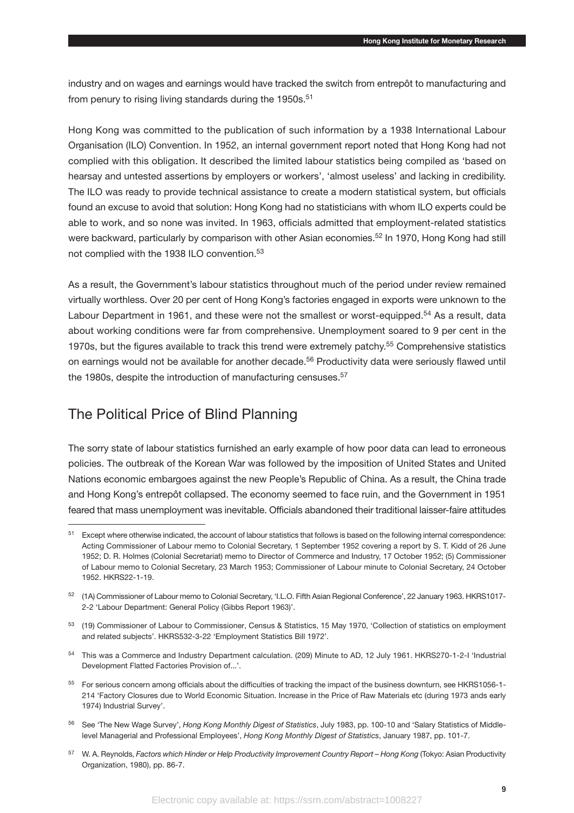industry and on wages and earnings would have tracked the switch from entrepôt to manufacturing and from penury to rising living standards during the 1950s.<sup>51</sup>

Hong Kong was committed to the publication of such information by a 1938 International Labour Organisation (ILO) Convention. In 1952, an internal government report noted that Hong Kong had not complied with this obligation. It described the limited labour statistics being compiled as 'based on hearsay and untested assertions by employers or workers', 'almost useless' and lacking in credibility. The ILO was ready to provide technical assistance to create a modern statistical system, but officials found an excuse to avoid that solution: Hong Kong had no statisticians with whom ILO experts could be able to work, and so none was invited. In 1963, officials admitted that employment-related statistics were backward, particularly by comparison with other Asian economies.<sup>52</sup> In 1970, Hong Kong had still not complied with the 1938 ILO convention.<sup>53</sup>

As a result, the Government's labour statistics throughout much of the period under review remained virtually worthless. Over 20 per cent of Hong Kong's factories engaged in exports were unknown to the Labour Department in 1961, and these were not the smallest or worst-equipped.<sup>54</sup> As a result, data about working conditions were far from comprehensive. Unemployment soared to 9 per cent in the 1970s, but the figures available to track this trend were extremely patchy.55 Comprehensive statistics on earnings would not be available for another decade.56 Productivity data were seriously flawed until the 1980s, despite the introduction of manufacturing censuses.<sup>57</sup>

## The Political Price of Blind Planning

The sorry state of labour statistics furnished an early example of how poor data can lead to erroneous policies. The outbreak of the Korean War was followed by the imposition of United States and United Nations economic embargoes against the new People's Republic of China. As a result, the China trade and Hong Kong's entrepôt collapsed. The economy seemed to face ruin, and the Government in 1951 feared that mass unemployment was inevitable. Officials abandoned their traditional laisser-faire attitudes

- <sup>54</sup> This was a Commerce and Industry Department calculation. (209) Minute to AD, 12 July 1961. HKRS270-1-2-I 'Industrial Development Flatted Factories Provision of...'.
- 55 For serious concern among officials about the difficulties of tracking the impact of the business downturn, see HKRS1056-1-214 'Factory Closures due to World Economic Situation. Increase in the Price of Raw Materials etc (during 1973 ands early 1974) Industrial Survey'.
- <sup>56</sup> See 'The New Wage Survey', *Hong Kong Monthly Digest of Statistics*, July 1983, pp. 100-10 and 'Salary Statistics of Middlelevel Managerial and Professional Employees', *Hong Kong Monthly Digest of Statistics*, January 1987, pp. 101-7.
- <sup>57</sup> W. A. Reynolds, *Factors which Hinder or Help Productivity Improvement Country Report Hong Kong* (Tokyo: Asian Productivity Organization, 1980), pp. 86-7.

<sup>51</sup> Except where otherwise indicated, the account of labour statistics that follows is based on the following internal correspondence: Acting Commissioner of Labour memo to Colonial Secretary, 1 September 1952 covering a report by S. T. Kidd of 26 June 1952; D. R. Holmes (Colonial Secretariat) memo to Director of Commerce and Industry, 17 October 1952; (5) Commissioner of Labour memo to Colonial Secretary, 23 March 1953; Commissioner of Labour minute to Colonial Secretary, 24 October 1952. HKRS22-1-19.

<sup>52</sup> (1A) Commissioner of Labour memo to Colonial Secretary, 'I.L.O. Fifth Asian Regional Conference', 22 January 1963. HKRS1017- 2-2 'Labour Department: General Policy (Gibbs Report 1963)'.

<sup>53</sup> (19) Commissioner of Labour to Commissioner, Census & Statistics, 15 May 1970, 'Collection of statistics on employment and related subjects'. HKRS532-3-22 'Employment Statistics Bill 1972'.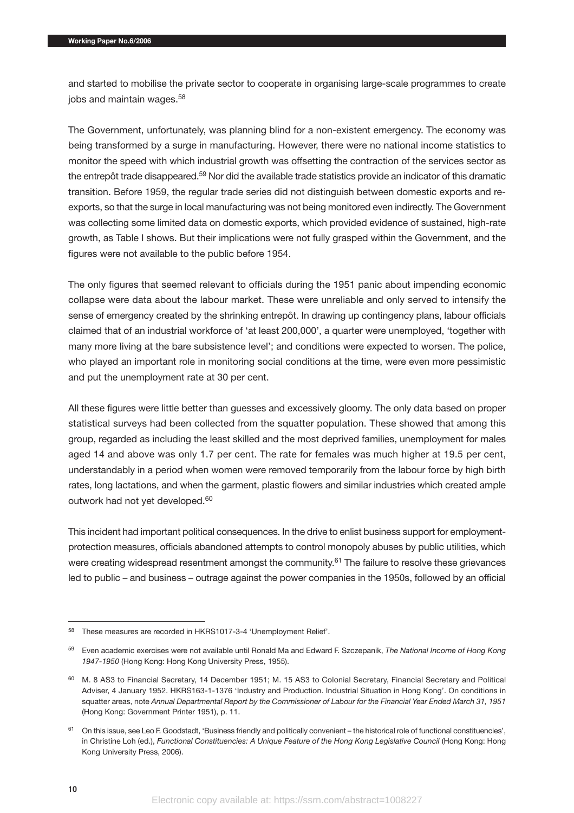and started to mobilise the private sector to cooperate in organising large-scale programmes to create jobs and maintain wages.<sup>58</sup>

The Government, unfortunately, was planning blind for a non-existent emergency. The economy was being transformed by a surge in manufacturing. However, there were no national income statistics to monitor the speed with which industrial growth was offsetting the contraction of the services sector as the entrepôt trade disappeared.59 Nor did the available trade statistics provide an indicator of this dramatic transition. Before 1959, the regular trade series did not distinguish between domestic exports and reexports, so that the surge in local manufacturing was not being monitored even indirectly. The Government was collecting some limited data on domestic exports, which provided evidence of sustained, high-rate growth, as Table I shows. But their implications were not fully grasped within the Government, and the figures were not available to the public before 1954.

The only figures that seemed relevant to officials during the 1951 panic about impending economic collapse were data about the labour market. These were unreliable and only served to intensify the sense of emergency created by the shrinking entrepôt. In drawing up contingency plans, labour officials claimed that of an industrial workforce of 'at least 200,000', a quarter were unemployed, 'together with many more living at the bare subsistence level'; and conditions were expected to worsen. The police, who played an important role in monitoring social conditions at the time, were even more pessimistic and put the unemployment rate at 30 per cent.

All these figures were little better than guesses and excessively gloomy. The only data based on proper statistical surveys had been collected from the squatter population. These showed that among this group, regarded as including the least skilled and the most deprived families, unemployment for males aged 14 and above was only 1.7 per cent. The rate for females was much higher at 19.5 per cent, understandably in a period when women were removed temporarily from the labour force by high birth rates, long lactations, and when the garment, plastic flowers and similar industries which created ample outwork had not yet developed.<sup>60</sup>

This incident had important political consequences. In the drive to enlist business support for employmentprotection measures, officials abandoned attempts to control monopoly abuses by public utilities, which were creating widespread resentment amongst the community.<sup>61</sup> The failure to resolve these grievances led to public – and business – outrage against the power companies in the 1950s, followed by an official

<sup>58</sup> These measures are recorded in HKRS1017-3-4 'Unemployment Relief'.

<sup>59</sup> Even academic exercises were not available until Ronald Ma and Edward F. Szczepanik, *The National Income of Hong Kong 1947-1950* (Hong Kong: Hong Kong University Press, 1955).

<sup>&</sup>lt;sup>60</sup> M. 8 AS3 to Financial Secretary, 14 December 1951; M. 15 AS3 to Colonial Secretary, Financial Secretary and Political Adviser, 4 January 1952. HKRS163-1-1376 'Industry and Production. Industrial Situation in Hong Kong'. On conditions in squatter areas, note *Annual Departmental Report by the Commissioner of Labour for the Financial Year Ended March 31, 1951* (Hong Kong: Government Printer 1951), p. 11.

<sup>61</sup> On this issue, see Leo F. Goodstadt, 'Business friendly and politically convenient – the historical role of functional constituencies', in Christine Loh (ed.), *Functional Constituencies: A Unique Feature of the Hong Kong Legislative Council* (Hong Kong: Hong Kong University Press, 2006).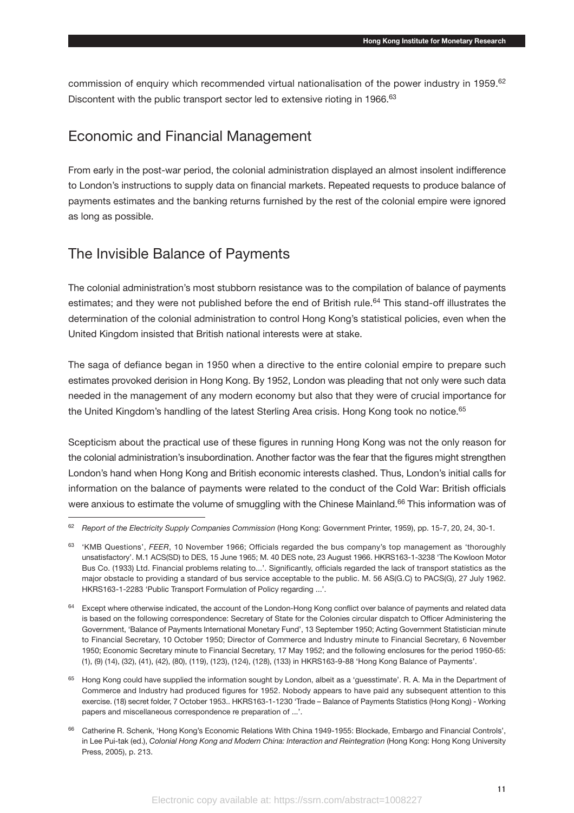commission of enquiry which recommended virtual nationalisation of the power industry in 1959.<sup>62</sup> Discontent with the public transport sector led to extensive rioting in 1966.<sup>63</sup>

## Economic and Financial Management

From early in the post-war period, the colonial administration displayed an almost insolent indifference to London's instructions to supply data on financial markets. Repeated requests to produce balance of payments estimates and the banking returns furnished by the rest of the colonial empire were ignored as long as possible.

## The Invisible Balance of Payments

The colonial administration's most stubborn resistance was to the compilation of balance of payments estimates; and they were not published before the end of British rule.<sup>64</sup> This stand-off illustrates the determination of the colonial administration to control Hong Kong's statistical policies, even when the United Kingdom insisted that British national interests were at stake.

The saga of defiance began in 1950 when a directive to the entire colonial empire to prepare such estimates provoked derision in Hong Kong. By 1952, London was pleading that not only were such data needed in the management of any modern economy but also that they were of crucial importance for the United Kingdom's handling of the latest Sterling Area crisis. Hong Kong took no notice.<sup>65</sup>

Scepticism about the practical use of these figures in running Hong Kong was not the only reason for the colonial administration's insubordination. Another factor was the fear that the figures might strengthen London's hand when Hong Kong and British economic interests clashed. Thus, London's initial calls for information on the balance of payments were related to the conduct of the Cold War: British officials were anxious to estimate the volume of smuggling with the Chinese Mainland.<sup>66</sup> This information was of

<sup>62</sup> *Report of the Electricity Supply Companies Commission* (Hong Kong: Government Printer, 1959), pp. 15-7, 20, 24, 30-1.

<sup>63</sup> 'KMB Questions', *FEER*, 10 November 1966; Officials regarded the bus company's top management as 'thoroughly unsatisfactory'. M.1 ACS(SD) to DES, 15 June 1965; M. 40 DES note, 23 August 1966. HKRS163-1-3238 'The Kowloon Motor Bus Co. (1933) Ltd. Financial problems relating to...'. Significantly, officials regarded the lack of transport statistics as the major obstacle to providing a standard of bus service acceptable to the public. M. 56 AS(G.C) to PACS(G), 27 July 1962. HKRS163-1-2283 'Public Transport Formulation of Policy regarding ...'.

<sup>&</sup>lt;sup>64</sup> Except where otherwise indicated, the account of the London-Hong Kong conflict over balance of payments and related data is based on the following correspondence: Secretary of State for the Colonies circular dispatch to Officer Administering the Government, 'Balance of Payments International Monetary Fund', 13 September 1950; Acting Government Statistician minute to Financial Secretary, 10 October 1950; Director of Commerce and Industry minute to Financial Secretary, 6 November 1950; Economic Secretary minute to Financial Secretary, 17 May 1952; and the following enclosures for the period 1950-65: (1), (9) (14), (32), (41), (42), (80), (119), (123), (124), (128), (133) in HKRS163-9-88 'Hong Kong Balance of Payments'.

<sup>&</sup>lt;sup>65</sup> Hong Kong could have supplied the information sought by London, albeit as a 'guesstimate'. R. A. Ma in the Department of Commerce and Industry had produced figures for 1952. Nobody appears to have paid any subsequent attention to this exercise. (18) secret folder, 7 October 1953.. HKRS163-1-1230 'Trade – Balance of Payments Statistics (Hong Kong) - Working papers and miscellaneous correspondence re preparation of ...'.

<sup>&</sup>lt;sup>66</sup> Catherine R. Schenk, 'Hong Kong's Economic Relations With China 1949-1955: Blockade, Embargo and Financial Controls', in Lee Pui-tak (ed.), *Colonial Hong Kong and Modern China: Interaction and Reintegration* (Hong Kong: Hong Kong University Press, 2005), p. 213.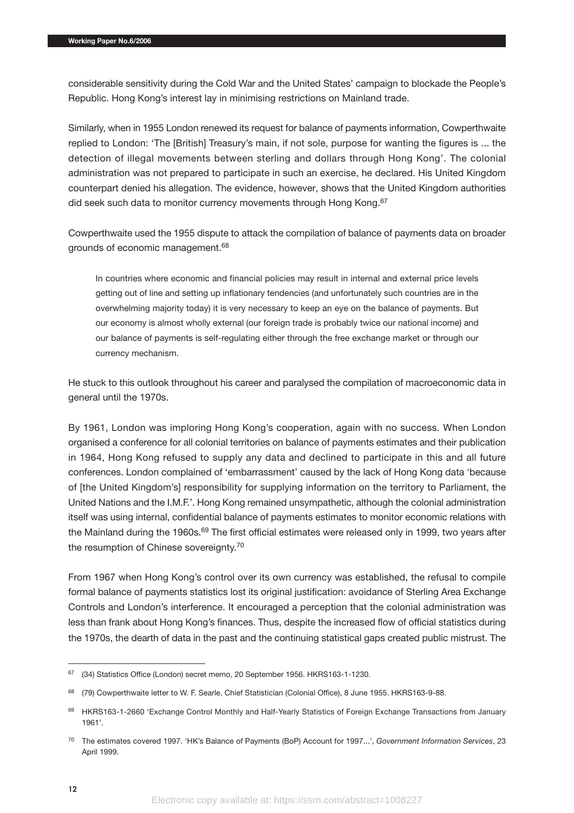considerable sensitivity during the Cold War and the United States' campaign to blockade the People's Republic. Hong Kong's interest lay in minimising restrictions on Mainland trade.

Similarly, when in 1955 London renewed its request for balance of payments information, Cowperthwaite replied to London: 'The [British] Treasury's main, if not sole, purpose for wanting the figures is ... the detection of illegal movements between sterling and dollars through Hong Kong'. The colonial administration was not prepared to participate in such an exercise, he declared. His United Kingdom counterpart denied his allegation. The evidence, however, shows that the United Kingdom authorities did seek such data to monitor currency movements through Hong Kong.<sup>67</sup>

Cowperthwaite used the 1955 dispute to attack the compilation of balance of payments data on broader grounds of economic management.68

In countries where economic and financial policies may result in internal and external price levels getting out of line and setting up inflationary tendencies (and unfortunately such countries are in the overwhelming majority today) it is very necessary to keep an eye on the balance of payments. But our economy is almost wholly external (our foreign trade is probably twice our national income) and our balance of payments is self-regulating either through the free exchange market or through our currency mechanism.

He stuck to this outlook throughout his career and paralysed the compilation of macroeconomic data in general until the 1970s.

By 1961, London was imploring Hong Kong's cooperation, again with no success. When London organised a conference for all colonial territories on balance of payments estimates and their publication in 1964, Hong Kong refused to supply any data and declined to participate in this and all future conferences. London complained of 'embarrassment' caused by the lack of Hong Kong data 'because of [the United Kingdom's] responsibility for supplying information on the territory to Parliament, the United Nations and the I.M.F.'. Hong Kong remained unsympathetic, although the colonial administration itself was using internal, confidential balance of payments estimates to monitor economic relations with the Mainland during the 1960s.<sup>69</sup> The first official estimates were released only in 1999, two years after the resumption of Chinese sovereignty.70

From 1967 when Hong Kong's control over its own currency was established, the refusal to compile formal balance of payments statistics lost its original justification: avoidance of Sterling Area Exchange Controls and London's interference. It encouraged a perception that the colonial administration was less than frank about Hong Kong's finances. Thus, despite the increased flow of official statistics during the 1970s, the dearth of data in the past and the continuing statistical gaps created public mistrust. The

<sup>67</sup> (34) Statistics Office (London) secret memo, 20 September 1956. HKRS163-1-1230.

<sup>68</sup> (79) Cowperthwaite letter to W. F. Searle, Chief Statistician (Colonial Office), 8 June 1955. HKRS163-9-88.

<sup>69</sup> HKRS163-1-2660 'Exchange Control Monthly and Half-Yearly Statistics of Foreign Exchange Transactions from January 1961'.

<sup>70</sup> The estimates covered 1997. 'HK's Balance of Payments (BoP) Account for 1997...', *Government Information Services*, 23 April 1999.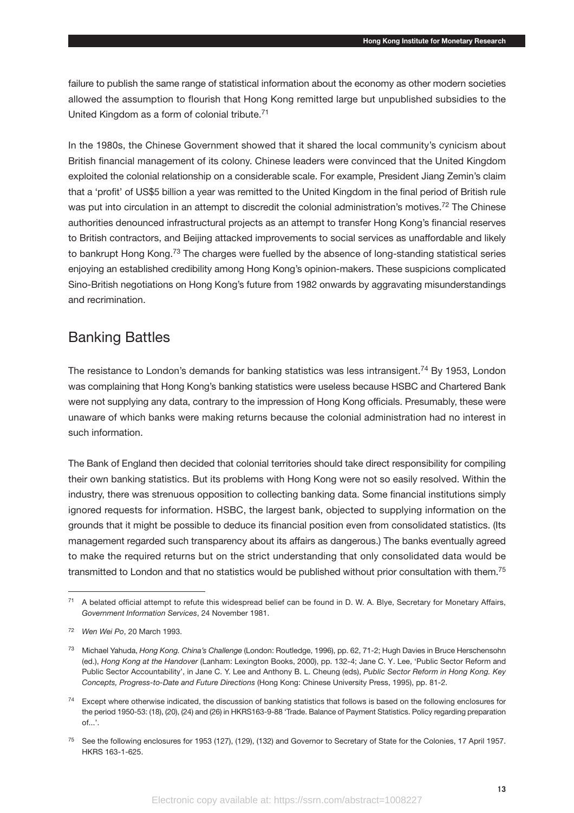failure to publish the same range of statistical information about the economy as other modern societies allowed the assumption to flourish that Hong Kong remitted large but unpublished subsidies to the United Kingdom as a form of colonial tribute.71

In the 1980s, the Chinese Government showed that it shared the local community's cynicism about British financial management of its colony. Chinese leaders were convinced that the United Kingdom exploited the colonial relationship on a considerable scale. For example, President Jiang Zemin's claim that a 'profit' of US\$5 billion a year was remitted to the United Kingdom in the final period of British rule was put into circulation in an attempt to discredit the colonial administration's motives.<sup>72</sup> The Chinese authorities denounced infrastructural projects as an attempt to transfer Hong Kong's financial reserves to British contractors, and Beijing attacked improvements to social services as unaffordable and likely to bankrupt Hong Kong.<sup>73</sup> The charges were fuelled by the absence of long-standing statistical series enjoying an established credibility among Hong Kong's opinion-makers. These suspicions complicated Sino-British negotiations on Hong Kong's future from 1982 onwards by aggravating misunderstandings and recrimination.

## Banking Battles

The resistance to London's demands for banking statistics was less intransigent.<sup>74</sup> By 1953, London was complaining that Hong Kong's banking statistics were useless because HSBC and Chartered Bank were not supplying any data, contrary to the impression of Hong Kong officials. Presumably, these were unaware of which banks were making returns because the colonial administration had no interest in such information.

The Bank of England then decided that colonial territories should take direct responsibility for compiling their own banking statistics. But its problems with Hong Kong were not so easily resolved. Within the industry, there was strenuous opposition to collecting banking data. Some financial institutions simply ignored requests for information. HSBC, the largest bank, objected to supplying information on the grounds that it might be possible to deduce its financial position even from consolidated statistics. (Its management regarded such transparency about its affairs as dangerous.) The banks eventually agreed to make the required returns but on the strict understanding that only consolidated data would be transmitted to London and that no statistics would be published without prior consultation with them.75

<sup>71</sup> A belated official attempt to refute this widespread belief can be found in D. W. A. Blye, Secretary for Monetary Affairs, *Government Information Services*, 24 November 1981.

<sup>72</sup> *Wen Wei Po*, 20 March 1993.

<sup>73</sup> Michael Yahuda, *Hong Kong. China's Challenge* (London: Routledge, 1996), pp. 62, 71-2; Hugh Davies in Bruce Herschensohn (ed.), *Hong Kong at the Handover* (Lanham: Lexington Books, 2000), pp. 132-4; Jane C. Y. Lee, 'Public Sector Reform and Public Sector Accountability', in Jane C. Y. Lee and Anthony B. L. Cheung (eds), *Public Sector Reform in Hong Kong. Key Concepts, Progress-to-Date and Future Directions* (Hong Kong: Chinese University Press, 1995), pp. 81-2.

<sup>&</sup>lt;sup>74</sup> Except where otherwise indicated, the discussion of banking statistics that follows is based on the following enclosures for the period 1950-53: (18), (20), (24) and (26) in HKRS163-9-88 'Trade. Balance of Payment Statistics. Policy regarding preparation of...'.

<sup>75</sup> See the following enclosures for 1953 (127), (129), (132) and Governor to Secretary of State for the Colonies, 17 April 1957. HKRS 163-1-625.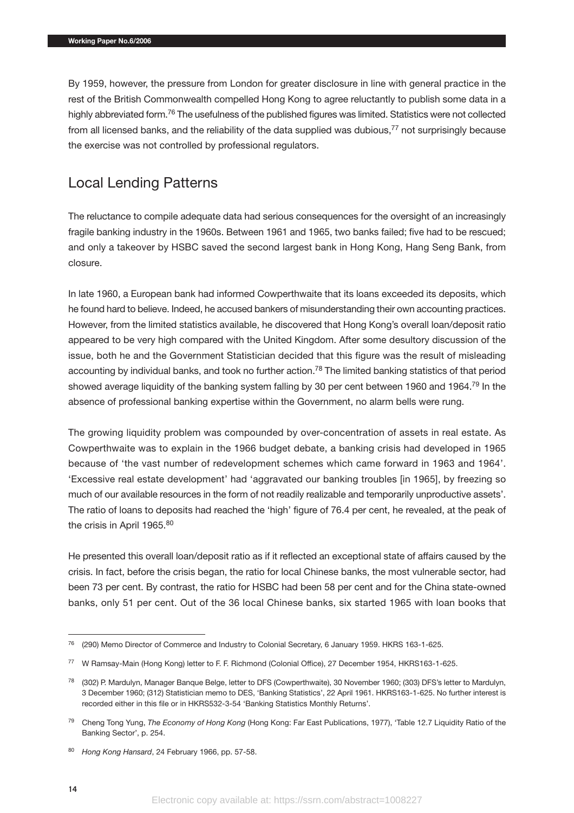By 1959, however, the pressure from London for greater disclosure in line with general practice in the rest of the British Commonwealth compelled Hong Kong to agree reluctantly to publish some data in a highly abbreviated form.<sup>76</sup> The usefulness of the published figures was limited. Statistics were not collected from all licensed banks, and the reliability of the data supplied was dubious,<sup>77</sup> not surprisingly because the exercise was not controlled by professional regulators.

## Local Lending Patterns

The reluctance to compile adequate data had serious consequences for the oversight of an increasingly fragile banking industry in the 1960s. Between 1961 and 1965, two banks failed; five had to be rescued; and only a takeover by HSBC saved the second largest bank in Hong Kong, Hang Seng Bank, from closure.

In late 1960, a European bank had informed Cowperthwaite that its loans exceeded its deposits, which he found hard to believe. Indeed, he accused bankers of misunderstanding their own accounting practices. However, from the limited statistics available, he discovered that Hong Kong's overall loan/deposit ratio appeared to be very high compared with the United Kingdom. After some desultory discussion of the issue, both he and the Government Statistician decided that this figure was the result of misleading accounting by individual banks, and took no further action.<sup>78</sup> The limited banking statistics of that period showed average liquidity of the banking system falling by 30 per cent between 1960 and 1964.<sup>79</sup> In the absence of professional banking expertise within the Government, no alarm bells were rung.

The growing liquidity problem was compounded by over-concentration of assets in real estate. As Cowperthwaite was to explain in the 1966 budget debate, a banking crisis had developed in 1965 because of 'the vast number of redevelopment schemes which came forward in 1963 and 1964'. 'Excessive real estate development' had 'aggravated our banking troubles [in 1965], by freezing so much of our available resources in the form of not readily realizable and temporarily unproductive assets'. The ratio of loans to deposits had reached the 'high' figure of 76.4 per cent, he revealed, at the peak of the crisis in April 1965.<sup>80</sup>

He presented this overall loan/deposit ratio as if it reflected an exceptional state of affairs caused by the crisis. In fact, before the crisis began, the ratio for local Chinese banks, the most vulnerable sector, had been 73 per cent. By contrast, the ratio for HSBC had been 58 per cent and for the China state-owned banks, only 51 per cent. Out of the 36 local Chinese banks, six started 1965 with loan books that

<sup>&</sup>lt;sup>76</sup> (290) Memo Director of Commerce and Industry to Colonial Secretary, 6 January 1959. HKRS 163-1-625.

<sup>77</sup> W Ramsay-Main (Hong Kong) letter to F. F. Richmond (Colonial Office), 27 December 1954, HKRS163-1-625.

<sup>78</sup> (302) P. Mardulyn, Manager Banque Belge, letter to DFS (Cowperthwaite), 30 November 1960; (303) DFS's letter to Mardulyn, 3 December 1960; (312) Statistician memo to DES, 'Banking Statistics', 22 April 1961. HKRS163-1-625. No further interest is recorded either in this file or in HKRS532-3-54 'Banking Statistics Monthly Returns'.

<sup>79</sup> Cheng Tong Yung, *The Economy of Hong Kong* (Hong Kong: Far East Publications, 1977), 'Table 12.7 Liquidity Ratio of the Banking Sector', p. 254.

<sup>80</sup> *Hong Kong Hansard*, 24 February 1966, pp. 57-58.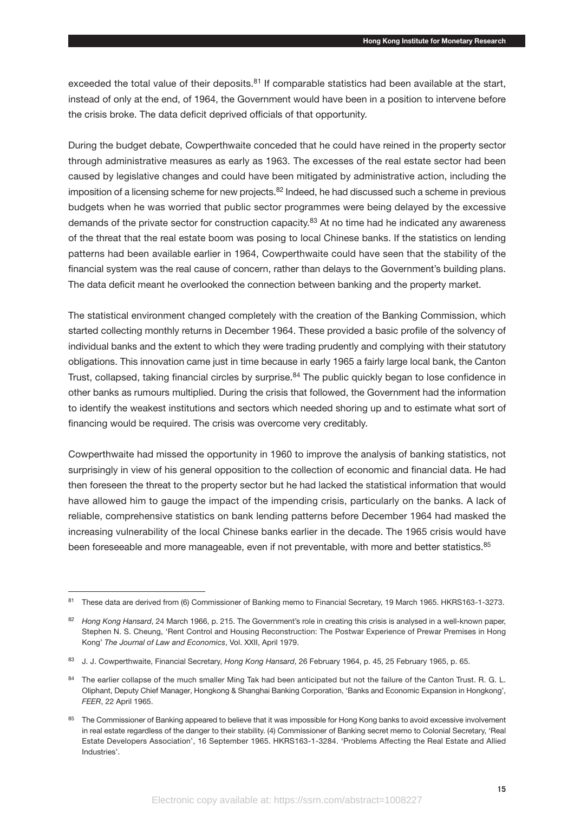exceeded the total value of their deposits.<sup>81</sup> If comparable statistics had been available at the start, instead of only at the end, of 1964, the Government would have been in a position to intervene before the crisis broke. The data deficit deprived officials of that opportunity.

During the budget debate, Cowperthwaite conceded that he could have reined in the property sector through administrative measures as early as 1963. The excesses of the real estate sector had been caused by legislative changes and could have been mitigated by administrative action, including the imposition of a licensing scheme for new projects.<sup>82</sup> Indeed, he had discussed such a scheme in previous budgets when he was worried that public sector programmes were being delayed by the excessive demands of the private sector for construction capacity.<sup>83</sup> At no time had he indicated any awareness of the threat that the real estate boom was posing to local Chinese banks. If the statistics on lending patterns had been available earlier in 1964, Cowperthwaite could have seen that the stability of the financial system was the real cause of concern, rather than delays to the Government's building plans. The data deficit meant he overlooked the connection between banking and the property market.

The statistical environment changed completely with the creation of the Banking Commission, which started collecting monthly returns in December 1964. These provided a basic profile of the solvency of individual banks and the extent to which they were trading prudently and complying with their statutory obligations. This innovation came just in time because in early 1965 a fairly large local bank, the Canton Trust, collapsed, taking financial circles by surprise.<sup>84</sup> The public quickly began to lose confidence in other banks as rumours multiplied. During the crisis that followed, the Government had the information to identify the weakest institutions and sectors which needed shoring up and to estimate what sort of financing would be required. The crisis was overcome very creditably.

Cowperthwaite had missed the opportunity in 1960 to improve the analysis of banking statistics, not surprisingly in view of his general opposition to the collection of economic and financial data. He had then foreseen the threat to the property sector but he had lacked the statistical information that would have allowed him to gauge the impact of the impending crisis, particularly on the banks. A lack of reliable, comprehensive statistics on bank lending patterns before December 1964 had masked the increasing vulnerability of the local Chinese banks earlier in the decade. The 1965 crisis would have been foreseeable and more manageable, even if not preventable, with more and better statistics.<sup>85</sup>

<sup>81</sup> These data are derived from (6) Commissioner of Banking memo to Financial Secretary, 19 March 1965. HKRS163-1-3273.

<sup>82</sup> *Hong Kong Hansard*, 24 March 1966, p. 215. The Government's role in creating this crisis is analysed in a well-known paper, Stephen N. S. Cheung, 'Rent Control and Housing Reconstruction: The Postwar Experience of Prewar Premises in Hong Kong' *The Journal of Law and Economics*, Vol. XXII, April 1979.

<sup>83</sup> J. J. Cowperthwaite, Financial Secretary, *Hong Kong Hansard*, 26 February 1964, p. 45, 25 February 1965, p. 65.

<sup>84</sup> The earlier collapse of the much smaller Ming Tak had been anticipated but not the failure of the Canton Trust. R. G. L. Oliphant, Deputy Chief Manager, Hongkong & Shanghai Banking Corporation, 'Banks and Economic Expansion in Hongkong', *FEER*, 22 April 1965.

<sup>85</sup> The Commissioner of Banking appeared to believe that it was impossible for Hong Kong banks to avoid excessive involvement in real estate regardless of the danger to their stability. (4) Commissioner of Banking secret memo to Colonial Secretary, 'Real Estate Developers Association', 16 September 1965. HKRS163-1-3284. 'Problems Affecting the Real Estate and Allied Industries'.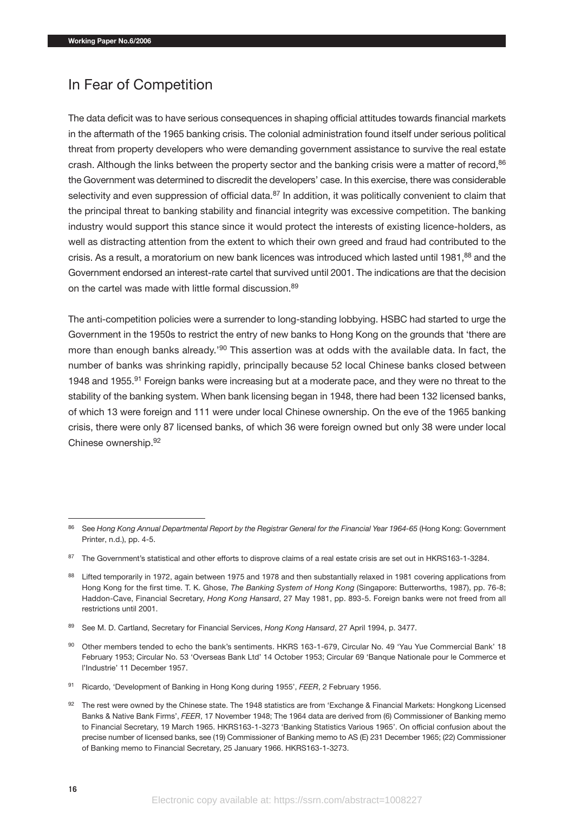## In Fear of Competition

The data deficit was to have serious consequences in shaping official attitudes towards financial markets in the aftermath of the 1965 banking crisis. The colonial administration found itself under serious political threat from property developers who were demanding government assistance to survive the real estate crash. Although the links between the property sector and the banking crisis were a matter of record.<sup>86</sup> the Government was determined to discredit the developers' case. In this exercise, there was considerable selectivity and even suppression of official data.<sup>87</sup> In addition, it was politically convenient to claim that the principal threat to banking stability and financial integrity was excessive competition. The banking industry would support this stance since it would protect the interests of existing licence-holders, as well as distracting attention from the extent to which their own greed and fraud had contributed to the crisis. As a result, a moratorium on new bank licences was introduced which lasted until 1981,<sup>88</sup> and the Government endorsed an interest-rate cartel that survived until 2001. The indications are that the decision on the cartel was made with little formal discussion.<sup>89</sup>

The anti-competition policies were a surrender to long-standing lobbying. HSBC had started to urge the Government in the 1950s to restrict the entry of new banks to Hong Kong on the grounds that 'there are more than enough banks already.'<sup>90</sup> This assertion was at odds with the available data. In fact, the number of banks was shrinking rapidly, principally because 52 local Chinese banks closed between 1948 and 1955.91 Foreign banks were increasing but at a moderate pace, and they were no threat to the stability of the banking system. When bank licensing began in 1948, there had been 132 licensed banks, of which 13 were foreign and 111 were under local Chinese ownership. On the eve of the 1965 banking crisis, there were only 87 licensed banks, of which 36 were foreign owned but only 38 were under local Chinese ownership.92

<sup>89</sup> See M. D. Cartland, Secretary for Financial Services, *Hong Kong Hansard*, 27 April 1994, p. 3477.

<sup>86</sup> See *Hong Kong Annual Departmental Report by the Registrar General for the Financial Year 1964-65* (Hong Kong: Government Printer, n.d.), pp. 4-5.

<sup>87</sup> The Government's statistical and other efforts to disprove claims of a real estate crisis are set out in HKRS163-1-3284.

<sup>88</sup> Lifted temporarily in 1972, again between 1975 and 1978 and then substantially relaxed in 1981 covering applications from Hong Kong for the first time. T. K. Ghose, *The Banking System of Hong Kong* (Singapore: Butterworths, 1987), pp. 76-8; Haddon-Cave, Financial Secretary, *Hong Kong Hansard*, 27 May 1981, pp. 893-5. Foreign banks were not freed from all restrictions until 2001.

<sup>90</sup> Other members tended to echo the bank's sentiments. HKRS 163-1-679, Circular No. 49 'Yau Yue Commercial Bank' 18 February 1953; Circular No. 53 'Overseas Bank Ltd' 14 October 1953; Circular 69 'Banque Nationale pour le Commerce et l'Industrie' 11 December 1957.

<sup>91</sup> Ricardo, 'Development of Banking in Hong Kong during 1955', *FEER*, 2 February 1956.

<sup>92</sup> The rest were owned by the Chinese state. The 1948 statistics are from 'Exchange & Financial Markets: Hongkong Licensed Banks & Native Bank Firms', *FEER*, 17 November 1948; The 1964 data are derived from (6) Commissioner of Banking memo to Financial Secretary, 19 March 1965. HKRS163-1-3273 'Banking Statistics Various 1965'. On official confusion about the precise number of licensed banks, see (19) Commissioner of Banking memo to AS (E) 231 December 1965; (22) Commissioner of Banking memo to Financial Secretary, 25 January 1966. HKRS163-1-3273.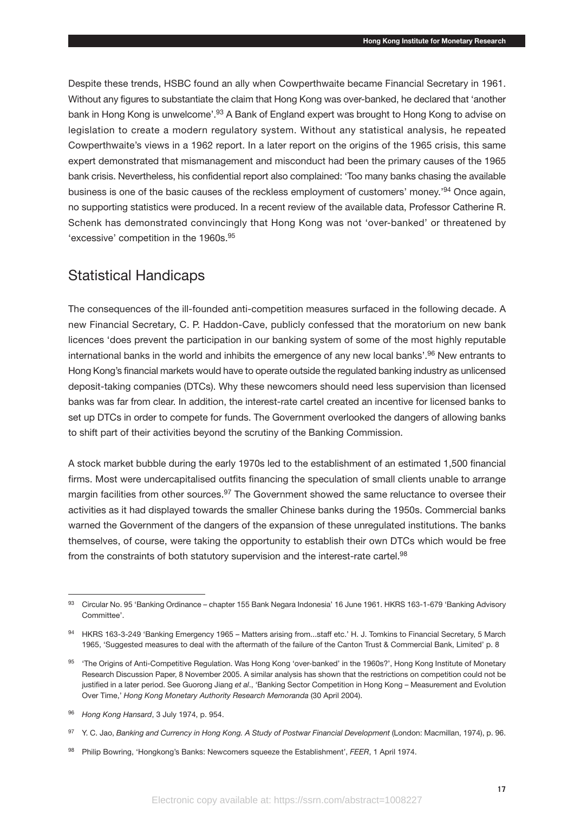Despite these trends, HSBC found an ally when Cowperthwaite became Financial Secretary in 1961. Without any figures to substantiate the claim that Hong Kong was over-banked, he declared that 'another bank in Hong Kong is unwelcome'.<sup>93</sup> A Bank of England expert was brought to Hong Kong to advise on legislation to create a modern regulatory system. Without any statistical analysis, he repeated Cowperthwaite's views in a 1962 report. In a later report on the origins of the 1965 crisis, this same expert demonstrated that mismanagement and misconduct had been the primary causes of the 1965 bank crisis. Nevertheless, his confidential report also complained: 'Too many banks chasing the available business is one of the basic causes of the reckless employment of customers' money.'94 Once again, no supporting statistics were produced. In a recent review of the available data, Professor Catherine R. Schenk has demonstrated convincingly that Hong Kong was not 'over-banked' or threatened by 'excessive' competition in the 1960s.<sup>95</sup>

## Statistical Handicaps

The consequences of the ill-founded anti-competition measures surfaced in the following decade. A new Financial Secretary, C. P. Haddon-Cave, publicly confessed that the moratorium on new bank licences 'does prevent the participation in our banking system of some of the most highly reputable international banks in the world and inhibits the emergence of any new local banks'.<sup>96</sup> New entrants to Hong Kong's financial markets would have to operate outside the regulated banking industry as unlicensed deposit-taking companies (DTCs). Why these newcomers should need less supervision than licensed banks was far from clear. In addition, the interest-rate cartel created an incentive for licensed banks to set up DTCs in order to compete for funds. The Government overlooked the dangers of allowing banks to shift part of their activities beyond the scrutiny of the Banking Commission.

A stock market bubble during the early 1970s led to the establishment of an estimated 1,500 financial firms. Most were undercapitalised outfits financing the speculation of small clients unable to arrange margin facilities from other sources.<sup>97</sup> The Government showed the same reluctance to oversee their activities as it had displayed towards the smaller Chinese banks during the 1950s. Commercial banks warned the Government of the dangers of the expansion of these unregulated institutions. The banks themselves, of course, were taking the opportunity to establish their own DTCs which would be free from the constraints of both statutory supervision and the interest-rate cartel.<sup>98</sup>

<sup>93</sup> Circular No. 95 'Banking Ordinance – chapter 155 Bank Negara Indonesia' 16 June 1961. HKRS 163-1-679 'Banking Advisory Committee'.

<sup>94</sup> HKRS 163-3-249 'Banking Emergency 1965 – Matters arising from...staff etc.' H. J. Tomkins to Financial Secretary, 5 March 1965, 'Suggested measures to deal with the aftermath of the failure of the Canton Trust & Commercial Bank, Limited' p. 8

<sup>&</sup>lt;sup>95</sup> 'The Origins of Anti-Competitive Regulation. Was Hong Kong 'over-banked' in the 1960s?', Hong Kong Institute of Monetary Research Discussion Paper, 8 November 2005. A similar analysis has shown that the restrictions on competition could not be justified in a later period. See Guorong Jiang *et al*., 'Banking Sector Competition in Hong Kong – Measurement and Evolution Over Time,' *Hong Kong Monetary Authority Research Memoranda* (30 April 2004).

<sup>96</sup> *Hong Kong Hansard*, 3 July 1974, p. 954.

<sup>97</sup> Y. C. Jao, Banking and Currency in Hong Kong. A Study of Postwar Financial Development (London: Macmillan, 1974), p. 96.

<sup>98</sup> Philip Bowring, 'Hongkong's Banks: Newcomers squeeze the Establishment', *FEER*, 1 April 1974.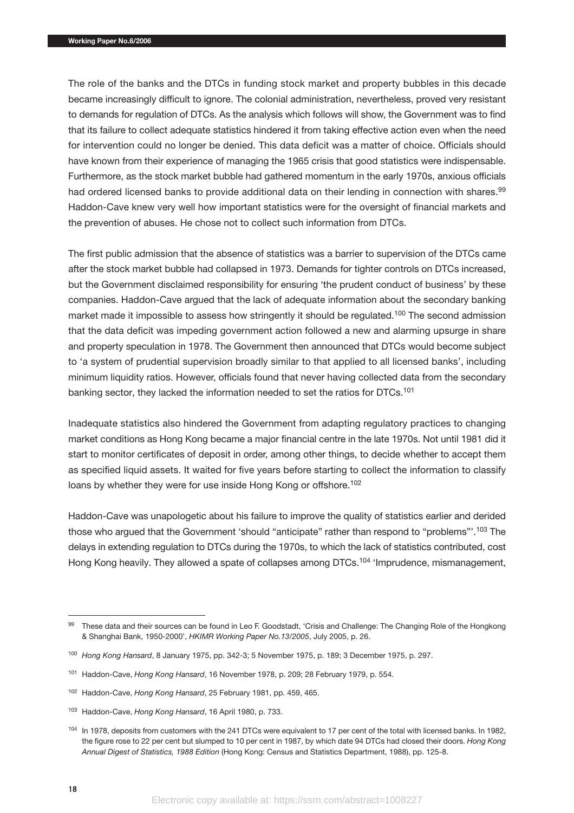The role of the banks and the DTCs in funding stock market and property bubbles in this decade became increasingly difficult to ignore. The colonial administration, nevertheless, proved very resistant to demands for regulation of DTCs. As the analysis which follows will show, the Government was to find that its failure to collect adequate statistics hindered it from taking effective action even when the need for intervention could no longer be denied. This data deficit was a matter of choice. Officials should have known from their experience of managing the 1965 crisis that good statistics were indispensable. Furthermore, as the stock market bubble had gathered momentum in the early 1970s, anxious officials had ordered licensed banks to provide additional data on their lending in connection with shares.<sup>99</sup> Haddon-Cave knew very well how important statistics were for the oversight of financial markets and the prevention of abuses. He chose not to collect such information from DTCs.

The first public admission that the absence of statistics was a barrier to supervision of the DTCs came after the stock market bubble had collapsed in 1973. Demands for tighter controls on DTCs increased, but the Government disclaimed responsibility for ensuring 'the prudent conduct of business' by these companies. Haddon-Cave argued that the lack of adequate information about the secondary banking market made it impossible to assess how stringently it should be regulated.<sup>100</sup> The second admission that the data deficit was impeding government action followed a new and alarming upsurge in share and property speculation in 1978. The Government then announced that DTCs would become subject to 'a system of prudential supervision broadly similar to that applied to all licensed banks', including minimum liquidity ratios. However, officials found that never having collected data from the secondary banking sector, they lacked the information needed to set the ratios for DTCs.101

Inadequate statistics also hindered the Government from adapting regulatory practices to changing market conditions as Hong Kong became a major financial centre in the late 1970s. Not until 1981 did it start to monitor certificates of deposit in order, among other things, to decide whether to accept them as specified liquid assets. It waited for five years before starting to collect the information to classify loans by whether they were for use inside Hong Kong or offshore.<sup>102</sup>

Haddon-Cave was unapologetic about his failure to improve the quality of statistics earlier and derided those who argued that the Government 'should "anticipate" rather than respond to "problems"'.103 The delays in extending regulation to DTCs during the 1970s, to which the lack of statistics contributed, cost Hong Kong heavily. They allowed a spate of collapses among DTCs.<sup>104</sup> 'Imprudence, mismanagement,

<sup>99</sup> These data and their sources can be found in Leo F. Goodstadt, 'Crisis and Challenge: The Changing Role of the Hongkong & Shanghai Bank, 1950-2000', *HKIMR Working Paper No.13/2005*, July 2005, p. 26.

<sup>100</sup> *Hong Kong Hansard*, 8 January 1975, pp. 342-3; 5 November 1975, p. 189; 3 December 1975, p. 297.

<sup>101</sup> Haddon-Cave, *Hong Kong Hansard*, 16 November 1978, p. 209; 28 February 1979, p. 554.

<sup>102</sup> Haddon-Cave, *Hong Kong Hansard*, 25 February 1981, pp. 459, 465.

<sup>103</sup> Haddon-Cave, *Hong Kong Hansard*, 16 April 1980, p. 733.

<sup>&</sup>lt;sup>104</sup> In 1978, deposits from customers with the 241 DTCs were equivalent to 17 per cent of the total with licensed banks. In 1982, the figure rose to 22 per cent but slumped to 10 per cent in 1987, by which date 94 DTCs had closed their doors. *Hong Kong Annual Digest of Statistics, 1988 Edition* (Hong Kong: Census and Statistics Department, 1988), pp. 125-8.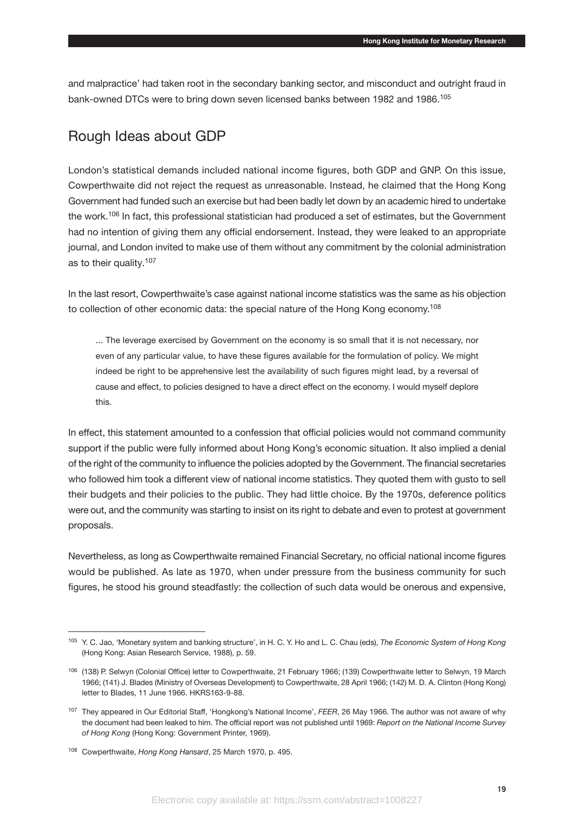and malpractice' had taken root in the secondary banking sector, and misconduct and outright fraud in bank-owned DTCs were to bring down seven licensed banks between 1982 and 1986.<sup>105</sup>

## Rough Ideas about GDP

London's statistical demands included national income figures, both GDP and GNP. On this issue, Cowperthwaite did not reject the request as unreasonable. Instead, he claimed that the Hong Kong Government had funded such an exercise but had been badly let down by an academic hired to undertake the work.<sup>106</sup> In fact, this professional statistician had produced a set of estimates, but the Government had no intention of giving them any official endorsement. Instead, they were leaked to an appropriate journal, and London invited to make use of them without any commitment by the colonial administration as to their quality.107

In the last resort, Cowperthwaite's case against national income statistics was the same as his objection to collection of other economic data: the special nature of the Hong Kong economy.<sup>108</sup>

... The leverage exercised by Government on the economy is so small that it is not necessary, nor even of any particular value, to have these figures available for the formulation of policy. We might indeed be right to be apprehensive lest the availability of such figures might lead, by a reversal of cause and effect, to policies designed to have a direct effect on the economy. I would myself deplore this.

In effect, this statement amounted to a confession that official policies would not command community support if the public were fully informed about Hong Kong's economic situation. It also implied a denial of the right of the community to influence the policies adopted by the Government. The financial secretaries who followed him took a different view of national income statistics. They quoted them with gusto to sell their budgets and their policies to the public. They had little choice. By the 1970s, deference politics were out, and the community was starting to insist on its right to debate and even to protest at government proposals.

Nevertheless, as long as Cowperthwaite remained Financial Secretary, no official national income figures would be published. As late as 1970, when under pressure from the business community for such figures, he stood his ground steadfastly: the collection of such data would be onerous and expensive,

<sup>105</sup> Y. C. Jao, 'Monetary system and banking structure', in H. C. Y. Ho and L. C. Chau (eds), *The Economic System of Hong Kong* (Hong Kong: Asian Research Service, 1988), p. 59.

<sup>106</sup> (138) P. Selwyn (Colonial Office) letter to Cowperthwaite, 21 February 1966; (139) Cowperthwaite letter to Selwyn, 19 March 1966; (141) J. Blades (Ministry of Overseas Development) to Cowperthwaite, 28 April 1966; (142) M. D. A. Clinton (Hong Kong) letter to Blades, 11 June 1966. HKRS163-9-88.

<sup>107</sup> They appeared in Our Editorial Staff, 'Hongkong's National Income', *FEER*, 26 May 1966. The author was not aware of why the document had been leaked to him. The official report was not published until 1969: *Report on the National Income Survey of Hong Kong* (Hong Kong: Government Printer, 1969).

<sup>108</sup> Cowperthwaite, *Hong Kong Hansard*, 25 March 1970, p. 495.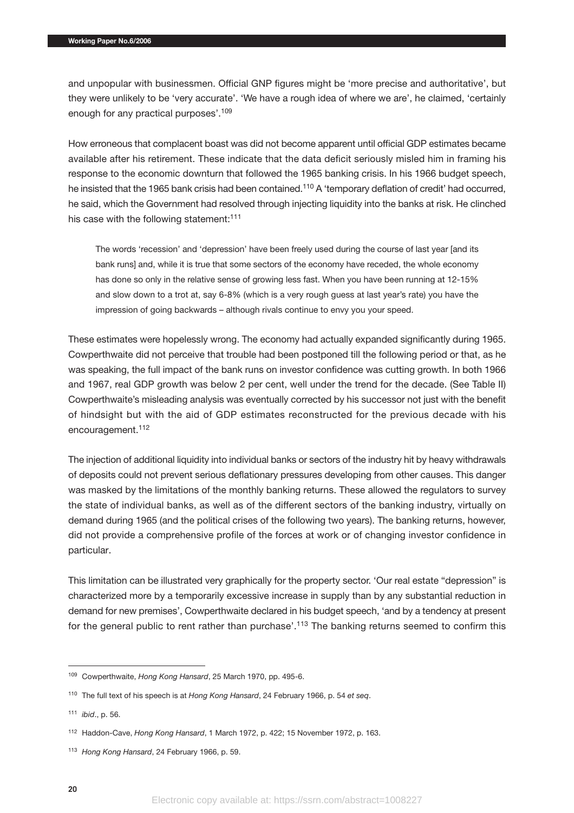and unpopular with businessmen. Official GNP figures might be 'more precise and authoritative', but they were unlikely to be 'very accurate'. 'We have a rough idea of where we are', he claimed, 'certainly enough for any practical purposes'.109

How erroneous that complacent boast was did not become apparent until official GDP estimates became available after his retirement. These indicate that the data deficit seriously misled him in framing his response to the economic downturn that followed the 1965 banking crisis. In his 1966 budget speech, he insisted that the 1965 bank crisis had been contained.<sup>110</sup> A 'temporary deflation of credit' had occurred, he said, which the Government had resolved through injecting liquidity into the banks at risk. He clinched his case with the following statement:<sup>111</sup>

The words 'recession' and 'depression' have been freely used during the course of last year [and its bank runs] and, while it is true that some sectors of the economy have receded, the whole economy has done so only in the relative sense of growing less fast. When you have been running at 12-15% and slow down to a trot at, say 6-8% (which is a very rough guess at last year's rate) you have the impression of going backwards – although rivals continue to envy you your speed.

These estimates were hopelessly wrong. The economy had actually expanded significantly during 1965. Cowperthwaite did not perceive that trouble had been postponed till the following period or that, as he was speaking, the full impact of the bank runs on investor confidence was cutting growth. In both 1966 and 1967, real GDP growth was below 2 per cent, well under the trend for the decade. (See Table II) Cowperthwaite's misleading analysis was eventually corrected by his successor not just with the benefit of hindsight but with the aid of GDP estimates reconstructed for the previous decade with his encouragement.<sup>112</sup>

The injection of additional liquidity into individual banks or sectors of the industry hit by heavy withdrawals of deposits could not prevent serious deflationary pressures developing from other causes. This danger was masked by the limitations of the monthly banking returns. These allowed the regulators to survey the state of individual banks, as well as of the different sectors of the banking industry, virtually on demand during 1965 (and the political crises of the following two years). The banking returns, however, did not provide a comprehensive profile of the forces at work or of changing investor confidence in particular.

This limitation can be illustrated very graphically for the property sector. 'Our real estate "depression" is characterized more by a temporarily excessive increase in supply than by any substantial reduction in demand for new premises', Cowperthwaite declared in his budget speech, 'and by a tendency at present for the general public to rent rather than purchase'.<sup>113</sup> The banking returns seemed to confirm this

<sup>109</sup> Cowperthwaite, *Hong Kong Hansard*, 25 March 1970, pp. 495-6.

<sup>110</sup> The full text of his speech is at *Hong Kong Hansard*, 24 February 1966, p. 54 *et seq*.

<sup>111</sup> *ibid*., p. 56.

<sup>112</sup> Haddon-Cave, *Hong Kong Hansard*, 1 March 1972, p. 422; 15 November 1972, p. 163.

<sup>113</sup> *Hong Kong Hansard*, 24 February 1966, p. 59.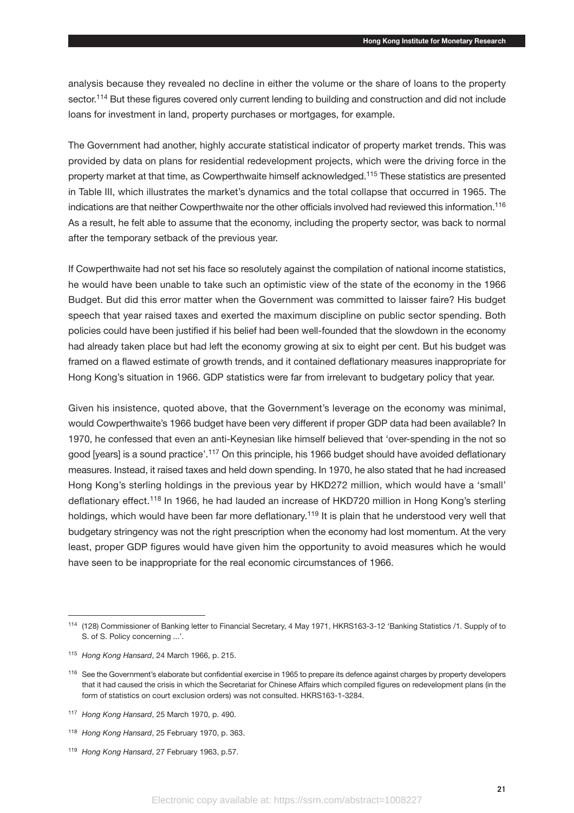analysis because they revealed no decline in either the volume or the share of loans to the property sector.<sup>114</sup> But these figures covered only current lending to building and construction and did not include loans for investment in land, property purchases or mortgages, for example.

The Government had another, highly accurate statistical indicator of property market trends. This was provided by data on plans for residential redevelopment projects, which were the driving force in the property market at that time, as Cowperthwaite himself acknowledged.115 These statistics are presented in Table III, which illustrates the market's dynamics and the total collapse that occurred in 1965. The indications are that neither Cowperthwaite nor the other officials involved had reviewed this information.116 As a result, he felt able to assume that the economy, including the property sector, was back to normal after the temporary setback of the previous year.

If Cowperthwaite had not set his face so resolutely against the compilation of national income statistics, he would have been unable to take such an optimistic view of the state of the economy in the 1966 Budget. But did this error matter when the Government was committed to laisser faire? His budget speech that year raised taxes and exerted the maximum discipline on public sector spending. Both policies could have been justified if his belief had been well-founded that the slowdown in the economy had already taken place but had left the economy growing at six to eight per cent. But his budget was framed on a flawed estimate of growth trends, and it contained deflationary measures inappropriate for Hong Kong's situation in 1966. GDP statistics were far from irrelevant to budgetary policy that year.

Given his insistence, quoted above, that the Government's leverage on the economy was minimal, would Cowperthwaite's 1966 budget have been very different if proper GDP data had been available? In 1970, he confessed that even an anti-Keynesian like himself believed that 'over-spending in the not so good [years] is a sound practice'.<sup>117</sup> On this principle, his 1966 budget should have avoided deflationary measures. Instead, it raised taxes and held down spending. In 1970, he also stated that he had increased Hong Kong's sterling holdings in the previous year by HKD272 million, which would have a 'small' deflationary effect.<sup>118</sup> In 1966, he had lauded an increase of HKD720 million in Hong Kong's sterling holdings, which would have been far more deflationary.<sup>119</sup> It is plain that he understood very well that budgetary stringency was not the right prescription when the economy had lost momentum. At the very least, proper GDP figures would have given him the opportunity to avoid measures which he would have seen to be inappropriate for the real economic circumstances of 1966.

<sup>114</sup> (128) Commissioner of Banking letter to Financial Secretary, 4 May 1971, HKRS163-3-12 'Banking Statistics /1. Supply of to S. of S. Policy concerning ...'.

<sup>115</sup> *Hong Kong Hansard*, 24 March 1966, p. 215.

<sup>116</sup> See the Government's elaborate but confidential exercise in 1965 to prepare its defence against charges by property developers that it had caused the crisis in which the Secretariat for Chinese Affairs which compiled figures on redevelopment plans (in the form of statistics on court exclusion orders) was not consulted. HKRS163-1-3284.

<sup>117</sup> *Hong Kong Hansard*, 25 March 1970, p. 490.

<sup>118</sup> *Hong Kong Hansard*, 25 February 1970, p. 363.

<sup>119</sup> *Hong Kong Hansard*, 27 February 1963, p.57.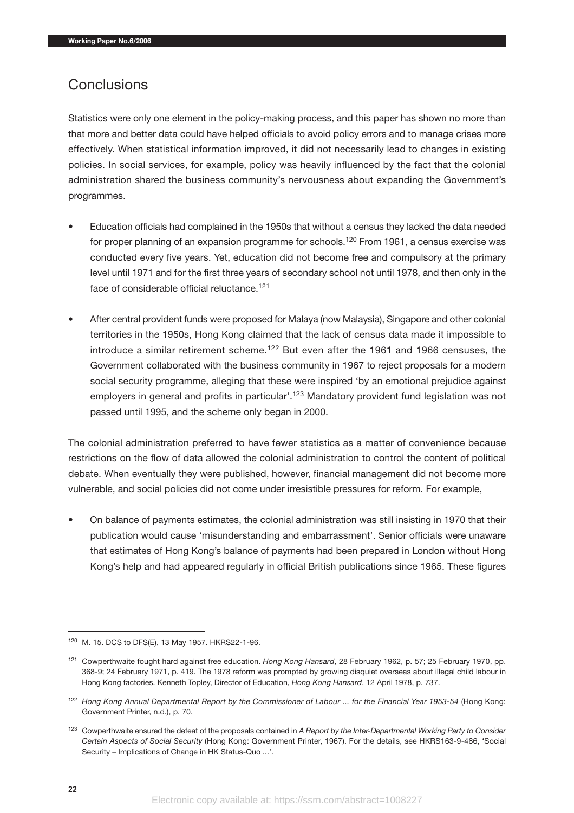## **Conclusions**

Statistics were only one element in the policy-making process, and this paper has shown no more than that more and better data could have helped officials to avoid policy errors and to manage crises more effectively. When statistical information improved, it did not necessarily lead to changes in existing policies. In social services, for example, policy was heavily influenced by the fact that the colonial administration shared the business community's nervousness about expanding the Government's programmes.

- Education officials had complained in the 1950s that without a census they lacked the data needed for proper planning of an expansion programme for schools.<sup>120</sup> From 1961, a census exercise was conducted every five years. Yet, education did not become free and compulsory at the primary level until 1971 and for the first three years of secondary school not until 1978, and then only in the face of considerable official reluctance.121
- After central provident funds were proposed for Malaya (now Malaysia), Singapore and other colonial territories in the 1950s, Hong Kong claimed that the lack of census data made it impossible to introduce a similar retirement scheme.<sup>122</sup> But even after the 1961 and 1966 censuses, the Government collaborated with the business community in 1967 to reject proposals for a modern social security programme, alleging that these were inspired 'by an emotional prejudice against employers in general and profits in particular'.<sup>123</sup> Mandatory provident fund legislation was not passed until 1995, and the scheme only began in 2000.

The colonial administration preferred to have fewer statistics as a matter of convenience because restrictions on the flow of data allowed the colonial administration to control the content of political debate. When eventually they were published, however, financial management did not become more vulnerable, and social policies did not come under irresistible pressures for reform. For example,

• On balance of payments estimates, the colonial administration was still insisting in 1970 that their publication would cause 'misunderstanding and embarrassment'. Senior officials were unaware that estimates of Hong Kong's balance of payments had been prepared in London without Hong Kong's help and had appeared regularly in official British publications since 1965. These figures

<sup>120</sup> M. 15. DCS to DFS(E), 13 May 1957. HKRS22-1-96.

<sup>121</sup> Cowperthwaite fought hard against free education. *Hong Kong Hansard*, 28 February 1962, p. 57; 25 February 1970, pp. 368-9; 24 February 1971, p. 419. The 1978 reform was prompted by growing disquiet overseas about illegal child labour in Hong Kong factories. Kenneth Topley, Director of Education, *Hong Kong Hansard*, 12 April 1978, p. 737.

<sup>122</sup> *Hong Kong Annual Departmental Report by the Commissioner of Labour ... for the Financial Year 1953-54* (Hong Kong: Government Printer, n.d.), p. 70.

<sup>123</sup> Cowperthwaite ensured the defeat of the proposals contained in *A Report by the Inter-Departmental Working Party to Consider Certain Aspects of Social Security* (Hong Kong: Government Printer, 1967). For the details, see HKRS163-9-486, 'Social Security – Implications of Change in HK Status-Quo ...'.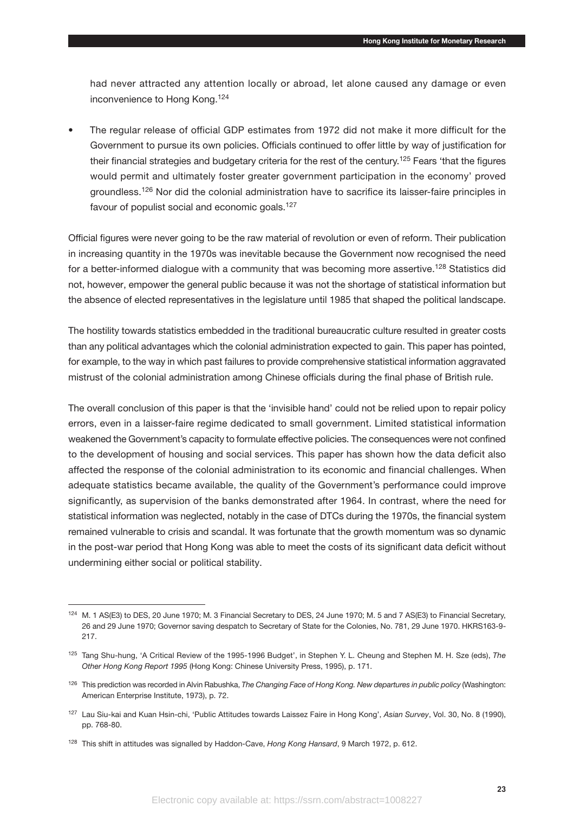had never attracted any attention locally or abroad, let alone caused any damage or even inconvenience to Hong Kong.<sup>124</sup>

• The regular release of official GDP estimates from 1972 did not make it more difficult for the Government to pursue its own policies. Officials continued to offer little by way of justification for their financial strategies and budgetary criteria for the rest of the century.<sup>125</sup> Fears 'that the figures would permit and ultimately foster greater government participation in the economy' proved groundless.126 Nor did the colonial administration have to sacrifice its laisser-faire principles in favour of populist social and economic goals.<sup>127</sup>

Official figures were never going to be the raw material of revolution or even of reform. Their publication in increasing quantity in the 1970s was inevitable because the Government now recognised the need for a better-informed dialogue with a community that was becoming more assertive.<sup>128</sup> Statistics did not, however, empower the general public because it was not the shortage of statistical information but the absence of elected representatives in the legislature until 1985 that shaped the political landscape.

The hostility towards statistics embedded in the traditional bureaucratic culture resulted in greater costs than any political advantages which the colonial administration expected to gain. This paper has pointed, for example, to the way in which past failures to provide comprehensive statistical information aggravated mistrust of the colonial administration among Chinese officials during the final phase of British rule.

The overall conclusion of this paper is that the 'invisible hand' could not be relied upon to repair policy errors, even in a laisser-faire regime dedicated to small government. Limited statistical information weakened the Government's capacity to formulate effective policies. The consequences were not confined to the development of housing and social services. This paper has shown how the data deficit also affected the response of the colonial administration to its economic and financial challenges. When adequate statistics became available, the quality of the Government's performance could improve significantly, as supervision of the banks demonstrated after 1964. In contrast, where the need for statistical information was neglected, notably in the case of DTCs during the 1970s, the financial system remained vulnerable to crisis and scandal. It was fortunate that the growth momentum was so dynamic in the post-war period that Hong Kong was able to meet the costs of its significant data deficit without undermining either social or political stability.

<sup>124</sup> M. 1 AS(E3) to DES, 20 June 1970; M. 3 Financial Secretary to DES, 24 June 1970; M. 5 and 7 AS(E3) to Financial Secretary, 26 and 29 June 1970; Governor saving despatch to Secretary of State for the Colonies, No. 781, 29 June 1970. HKRS163-9- 217.

<sup>125</sup> Tang Shu-hung, 'A Critical Review of the 1995-1996 Budget', in Stephen Y. L. Cheung and Stephen M. H. Sze (eds), *The Other Hong Kong Report 1995* (Hong Kong: Chinese University Press, 1995), p. 171.

<sup>126</sup> This prediction was recorded in Alvin Rabushka, *The Changing Face of Hong Kong. New departures in public policy* (Washington: American Enterprise Institute, 1973), p. 72.

<sup>127</sup> Lau Siu-kai and Kuan Hsin-chi, 'Public Attitudes towards Laissez Faire in Hong Kong', *Asian Survey*, Vol. 30, No. 8 (1990), pp. 768-80.

<sup>128</sup> This shift in attitudes was signalled by Haddon-Cave, *Hong Kong Hansard*, 9 March 1972, p. 612.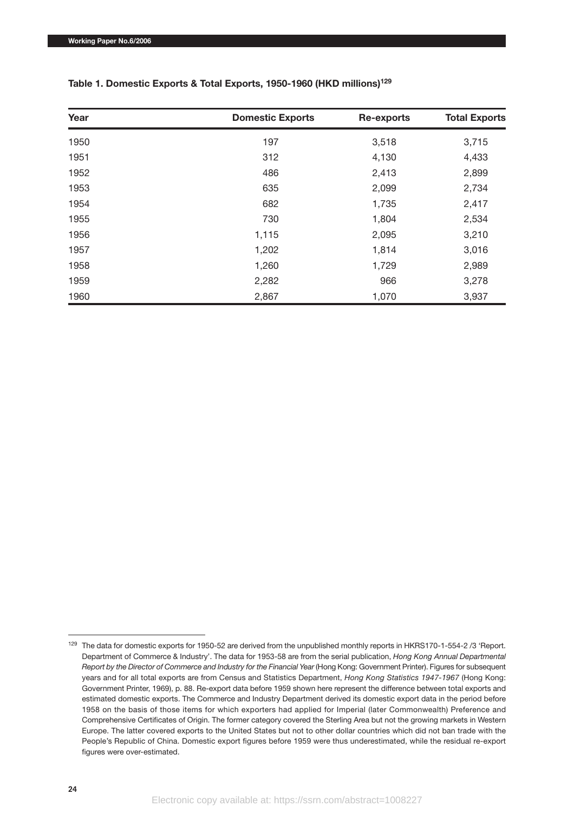| Year | <b>Domestic Exports</b> | <b>Re-exports</b> | <b>Total Exports</b> |
|------|-------------------------|-------------------|----------------------|
| 1950 | 197                     | 3,518             | 3,715                |
| 1951 | 312                     | 4,130             | 4,433                |
| 1952 | 486                     | 2,413             | 2,899                |
| 1953 | 635                     | 2,099             | 2,734                |
| 1954 | 682                     | 1,735             | 2,417                |
| 1955 | 730                     | 1,804             | 2,534                |
| 1956 | 1,115                   | 2,095             | 3,210                |
| 1957 | 1,202                   | 1,814             | 3,016                |
| 1958 | 1,260                   | 1,729             | 2,989                |
| 1959 | 2,282                   | 966               | 3,278                |
| 1960 | 2,867                   | 1,070             | 3,937                |

#### **Table 1. Domestic Exports & Total Exports, 1950-1960 (HKD millions)129**

<sup>129</sup> The data for domestic exports for 1950-52 are derived from the unpublished monthly reports in HKRS170-1-554-2 /3 'Report. Department of Commerce & Industry'. The data for 1953-58 are from the serial publication, *Hong Kong Annual Departmental Report by the Director of Commerce and Industry for the Financial Year* (Hong Kong: Government Printer). Figures for subsequent years and for all total exports are from Census and Statistics Department, *Hong Kong Statistics 1947-1967* (Hong Kong: Government Printer, 1969), p. 88. Re-export data before 1959 shown here represent the difference between total exports and estimated domestic exports. The Commerce and Industry Department derived its domestic export data in the period before 1958 on the basis of those items for which exporters had applied for Imperial (later Commonwealth) Preference and Comprehensive Certificates of Origin. The former category covered the Sterling Area but not the growing markets in Western Europe. The latter covered exports to the United States but not to other dollar countries which did not ban trade with the People's Republic of China. Domestic export figures before 1959 were thus underestimated, while the residual re-export figures were over-estimated.